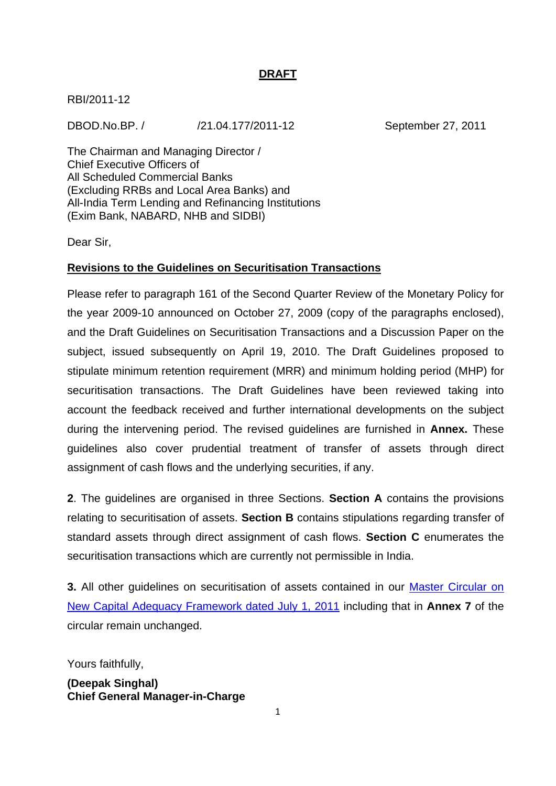### **DRAFT**

RBI/2011-12

DBOD.No.BP. / /21.04.177/2011-12 September 27, 2011

The Chairman and Managing Director / Chief Executive Officers of All Scheduled Commercial Banks (Excluding RRBs and Local Area Banks) and All-India Term Lending and Refinancing Institutions (Exim Bank, NABARD, NHB and SIDBI)

Dear Sir,

### **Revisions to the Guidelines on Securitisation Transactions**

Please refer to paragraph 161 of the Second Quarter Review of the Monetary Policy for the year 2009-10 announced on October 27, 2009 (copy of the paragraphs enclosed), and the Draft Guidelines on Securitisation Transactions and a Discussion Paper on the subject, issued subsequently on April 19, 2010. The Draft Guidelines proposed to stipulate minimum retention requirement (MRR) and minimum holding period (MHP) for securitisation transactions. The Draft Guidelines have been reviewed taking into account the feedback received and further international developments on the subject during the intervening period. The revised guidelines are furnished in **Annex.** These guidelines also cover prudential treatment of transfer of assets through direct assignment of cash flows and the underlying securities, if any.

**2**. The guidelines are organised in three Sections. **Section A** contains the provisions relating to securitisation of assets. **Section B** contains stipulations regarding transfer of standard assets through direct assignment of cash flows. **Section C** enumerates the securitisation transactions which are currently not permissible in India.

**3.** All other guidelines on securitisation of assets contained in our [Master Circular on](http://rbi.org.in/scripts/BS_ViewMasCirculardetails.aspx?Id=5777&Mode=0)  [New Capital Adequacy Framework dated July 1, 2011](http://rbi.org.in/scripts/BS_ViewMasCirculardetails.aspx?Id=5777&Mode=0) including that in **Annex 7** of the circular remain unchanged.

Yours faithfully,

**(Deepak Singhal) Chief General Manager-in-Charge**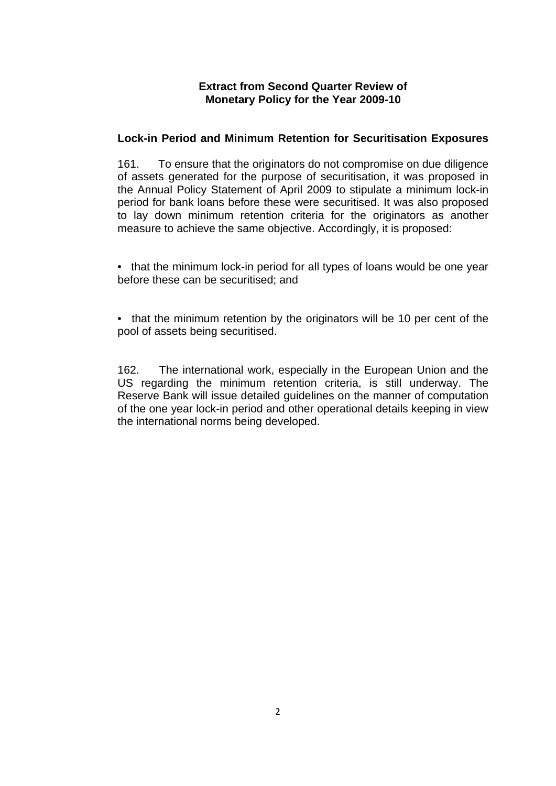### **Extract from Second Quarter Review of Monetary Policy for the Year 2009-10**

### **Lock-in Period and Minimum Retention for Securitisation Exposures**

161. To ensure that the originators do not compromise on due diligence of assets generated for the purpose of securitisation, it was proposed in the Annual Policy Statement of April 2009 to stipulate a minimum lock-in period for bank loans before these were securitised. It was also proposed to lay down minimum retention criteria for the originators as another measure to achieve the same objective. Accordingly, it is proposed:

• that the minimum lock-in period for all types of loans would be one year before these can be securitised; and

• that the minimum retention by the originators will be 10 per cent of the pool of assets being securitised.

162. The international work, especially in the European Union and the US regarding the minimum retention criteria, is still underway. The Reserve Bank will issue detailed guidelines on the manner of computation of the one year lock-in period and other operational details keeping in view the international norms being developed.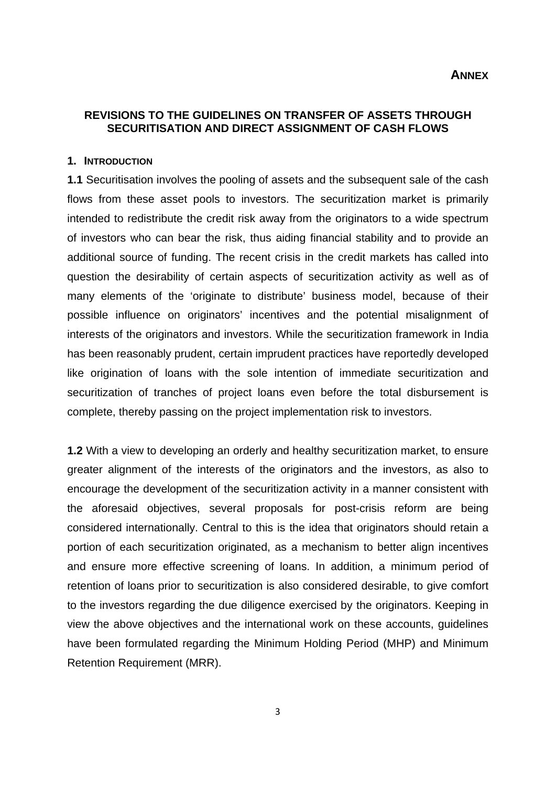#### **REVISIONS TO THE GUIDELINES ON TRANSFER OF ASSETS THROUGH SECURITISATION AND DIRECT ASSIGNMENT OF CASH FLOWS**

#### **1. INTRODUCTION**

**1.1** Securitisation involves the pooling of assets and the subsequent sale of the cash flows from these asset pools to investors. The securitization market is primarily intended to redistribute the credit risk away from the originators to a wide spectrum of investors who can bear the risk, thus aiding financial stability and to provide an additional source of funding. The recent crisis in the credit markets has called into question the desirability of certain aspects of securitization activity as well as of many elements of the 'originate to distribute' business model, because of their possible influence on originators' incentives and the potential misalignment of interests of the originators and investors. While the securitization framework in India has been reasonably prudent, certain imprudent practices have reportedly developed like origination of loans with the sole intention of immediate securitization and securitization of tranches of project loans even before the total disbursement is complete, thereby passing on the project implementation risk to investors.

**1.2** With a view to developing an orderly and healthy securitization market, to ensure greater alignment of the interests of the originators and the investors, as also to encourage the development of the securitization activity in a manner consistent with the aforesaid objectives, several proposals for post-crisis reform are being considered internationally. Central to this is the idea that originators should retain a portion of each securitization originated, as a mechanism to better align incentives and ensure more effective screening of loans. In addition, a minimum period of retention of loans prior to securitization is also considered desirable, to give comfort to the investors regarding the due diligence exercised by the originators. Keeping in view the above objectives and the international work on these accounts, guidelines have been formulated regarding the Minimum Holding Period (MHP) and Minimum Retention Requirement (MRR).

3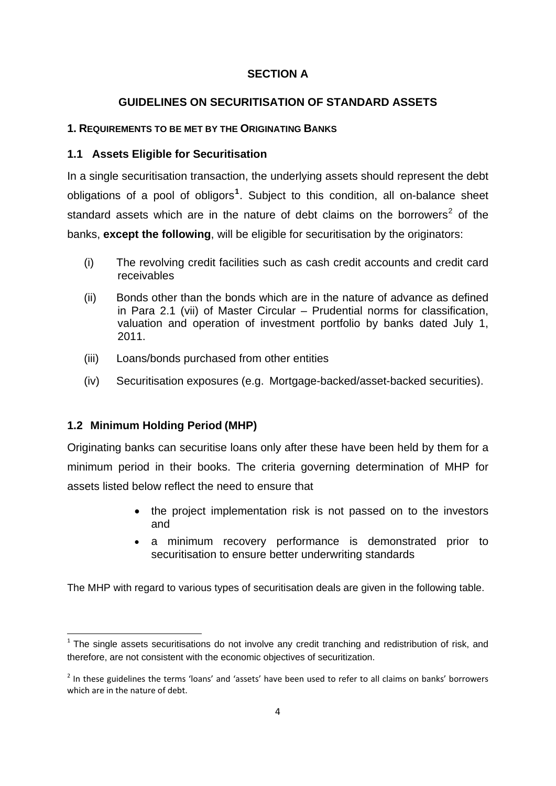### **SECTION A**

### **GUIDELINES ON SECURITISATION OF STANDARD ASSETS**

### <span id="page-3-0"></span>**1. REQUIREMENTS TO BE MET BY THE ORIGINATING BANKS**

### **1.1 Assets Eligible for Securitisation**

In a single securitisation transaction, the underlying assets should represent the debt obligations of a pool of obligors**[1](#page-3-0)** . Subject to this condition, all on-balance sheet standard assets which are in the nature of debt claims on the borrowers<sup>[2](#page-3-0)</sup> of the banks, **except the following**, will be eligible for securitisation by the originators:

- (i) The revolving credit facilities such as cash credit accounts and credit card receivables
- (ii) Bonds other than the bonds which are in the nature of advance as defined in Para 2.1 (vii) of Master Circular – Prudential norms for classification, valuation and operation of investment portfolio by banks dated July 1, 2011.
- (iii) Loans/bonds purchased from other entities
- (iv) Securitisation exposures (e.g. Mortgage-backed/asset-backed securities).

### **1.2 Minimum Holding Period (MHP)**

Originating banks can securitise loans only after these have been held by them for a minimum period in their books. The criteria governing determination of MHP for assets listed below reflect the need to ensure that

- the project implementation risk is not passed on to the investors and
- a minimum recovery performance is demonstrated prior to securitisation to ensure better underwriting standards

The MHP with regard to various types of securitisation deals are given in the following table.

  $1$  The single assets securitisations do not involve any credit tranching and redistribution of risk, and therefore, are not consistent with the economic objectives of securitization.

<sup>&</sup>lt;sup>2</sup> In these guidelines the terms 'loans' and 'assets' have been used to refer to all claims on banks' borrowers which are in the nature of debt.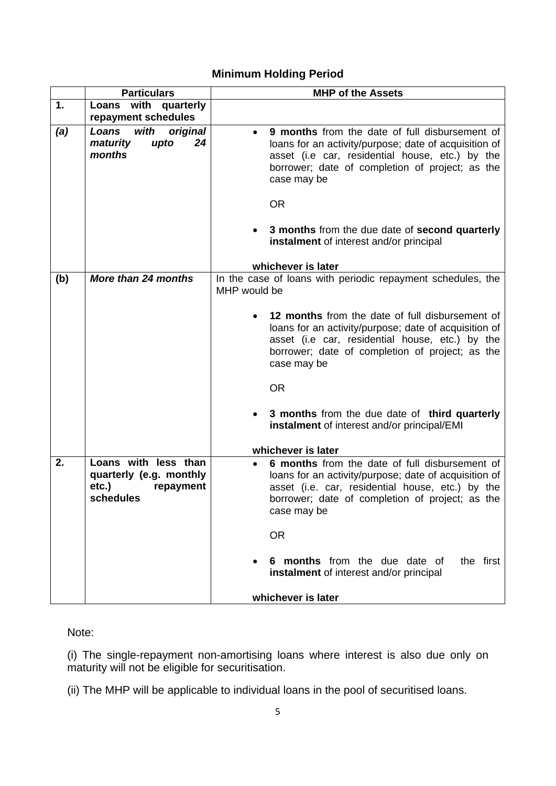# **Minimum Holding Period**

|     | <b>Particulars</b>                                                                 | <b>MHP of the Assets</b>                                                                                                                                                                                                                   |  |  |  |  |  |
|-----|------------------------------------------------------------------------------------|--------------------------------------------------------------------------------------------------------------------------------------------------------------------------------------------------------------------------------------------|--|--|--|--|--|
| 1.  | with quarterly<br>Loans<br>repayment schedules                                     |                                                                                                                                                                                                                                            |  |  |  |  |  |
| (a) | with<br>Loans<br>original<br>24<br>upto<br>maturity<br>months                      | 9 months from the date of full disbursement of<br>$\bullet$<br>loans for an activity/purpose; date of acquisition of<br>asset (i.e car, residential house, etc.) by the<br>borrower; date of completion of project; as the<br>case may be  |  |  |  |  |  |
|     |                                                                                    | <b>OR</b>                                                                                                                                                                                                                                  |  |  |  |  |  |
|     |                                                                                    | 3 months from the due date of second quarterly<br>instalment of interest and/or principal                                                                                                                                                  |  |  |  |  |  |
|     |                                                                                    | whichever is later                                                                                                                                                                                                                         |  |  |  |  |  |
| (b) | More than 24 months                                                                | In the case of loans with periodic repayment schedules, the<br>MHP would be                                                                                                                                                                |  |  |  |  |  |
|     |                                                                                    | 12 months from the date of full disbursement of<br>loans for an activity/purpose; date of acquisition of<br>asset (i.e car, residential house, etc.) by the<br>borrower; date of completion of project; as the<br>case may be              |  |  |  |  |  |
|     |                                                                                    | <b>OR</b>                                                                                                                                                                                                                                  |  |  |  |  |  |
|     |                                                                                    | 3 months from the due date of third quarterly<br>instalment of interest and/or principal/EMI                                                                                                                                               |  |  |  |  |  |
|     |                                                                                    | whichever is later                                                                                                                                                                                                                         |  |  |  |  |  |
| 2.  | Loans with less than<br>quarterly (e.g. monthly<br>etc.)<br>repayment<br>schedules | 6 months from the date of full disbursement of<br>$\bullet$<br>loans for an activity/purpose; date of acquisition of<br>asset (i.e. car, residential house, etc.) by the<br>borrower; date of completion of project; as the<br>case may be |  |  |  |  |  |
|     |                                                                                    | <b>OR</b>                                                                                                                                                                                                                                  |  |  |  |  |  |
|     |                                                                                    | 6 months from the due date of<br>the first<br>instalment of interest and/or principal                                                                                                                                                      |  |  |  |  |  |
|     |                                                                                    | whichever is later                                                                                                                                                                                                                         |  |  |  |  |  |

Note:

(i) The single-repayment non-amortising loans where interest is also due only on maturity will not be eligible for securitisation.

(ii) The MHP will be applicable to individual loans in the pool of securitised loans.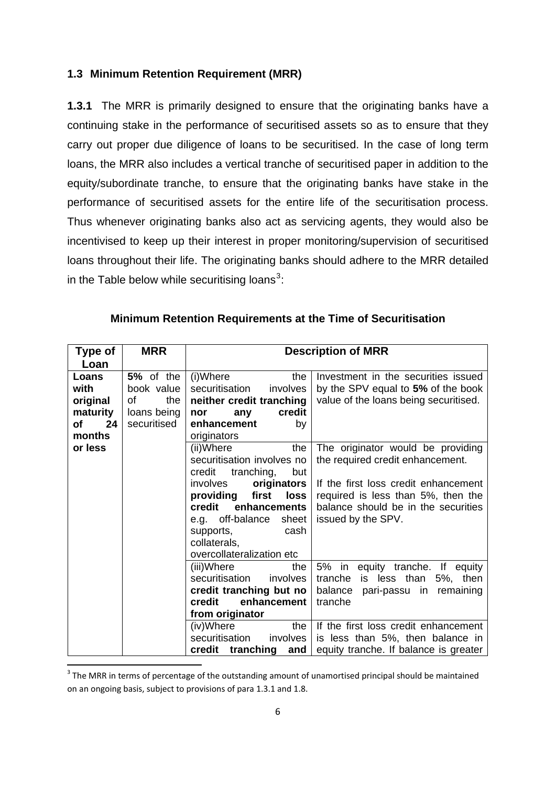#### <span id="page-5-0"></span>**1.3 Minimum Retention Requirement (MRR)**

**1.3.1** The MRR is primarily designed to ensure that the originating banks have a continuing stake in the performance of securitised assets so as to ensure that they carry out proper due diligence of loans to be securitised. In the case of long term loans, the MRR also includes a vertical tranche of securitised paper in addition to the equity/subordinate tranche, to ensure that the originating banks have stake in the performance of securitised assets for the entire life of the securitisation process. Thus whenever originating banks also act as servicing agents, they would also be incentivised to keep up their interest in proper monitoring/supervision of securitised loans throughout their life. The originating banks should adhere to the MRR detailed in the Table below while securitising loans<sup>[3](#page-5-0)</sup>:

| Type of  | <b>MRR</b>  |                                                                  | <b>Description of MRR</b>             |  |  |
|----------|-------------|------------------------------------------------------------------|---------------------------------------|--|--|
| Loan     |             |                                                                  |                                       |  |  |
| Loans    | 5% of the   | (i)Where<br>the                                                  | Investment in the securities issued   |  |  |
| with     | book value  | securitisation<br>involves                                       | by the SPV equal to 5% of the book    |  |  |
| original | of<br>the   | neither credit tranching                                         | value of the loans being securitised. |  |  |
| maturity | loans being | credit<br>nor<br>any                                             |                                       |  |  |
| 24<br>of | securitised | enhancement<br>by                                                |                                       |  |  |
| months   |             | originators                                                      |                                       |  |  |
| or less  |             | (ii)Where<br>the                                                 | The originator would be providing     |  |  |
|          |             | securitisation involves no                                       | the required credit enhancement.      |  |  |
|          |             | tranching,<br>credit<br>but                                      |                                       |  |  |
|          |             | involves<br>originators                                          | If the first loss credit enhancement  |  |  |
|          |             | first<br>loss<br>providing<br>required is less than 5%, then the |                                       |  |  |
|          |             | credit<br>enhancements                                           | balance should be in the securities   |  |  |
|          |             | e.g. off-balance<br>sheet                                        | issued by the SPV.                    |  |  |
|          |             | cash<br>supports,                                                |                                       |  |  |
|          |             | collaterals,                                                     |                                       |  |  |
|          |             | overcollateralization etc                                        |                                       |  |  |
|          |             | (iii)Where<br>the                                                | 5% in equity tranche. If equity       |  |  |
|          |             | securitisation<br>involves                                       | tranche<br>is less than 5%, then      |  |  |
|          |             | credit tranching but no                                          | balance pari-passu in remaining       |  |  |
|          |             | credit<br>enhancement                                            | tranche                               |  |  |
|          |             | from originator                                                  |                                       |  |  |
|          |             | (iv)Where<br>the                                                 | If the first loss credit enhancement  |  |  |
|          |             | securitisation<br>involves                                       | is less than 5%, then balance in      |  |  |
|          |             | credit tranching and $\vert$                                     | equity tranche. If balance is greater |  |  |

### **Minimum Retention Requirements at the Time of Securitisation**

<sup>&</sup>lt;sup>3</sup> The MRR in terms of percentage of the outstanding amount of unamortised principal should be maintained on an ongoing basis, subject to provisions of para 1.3.1 and 1.8.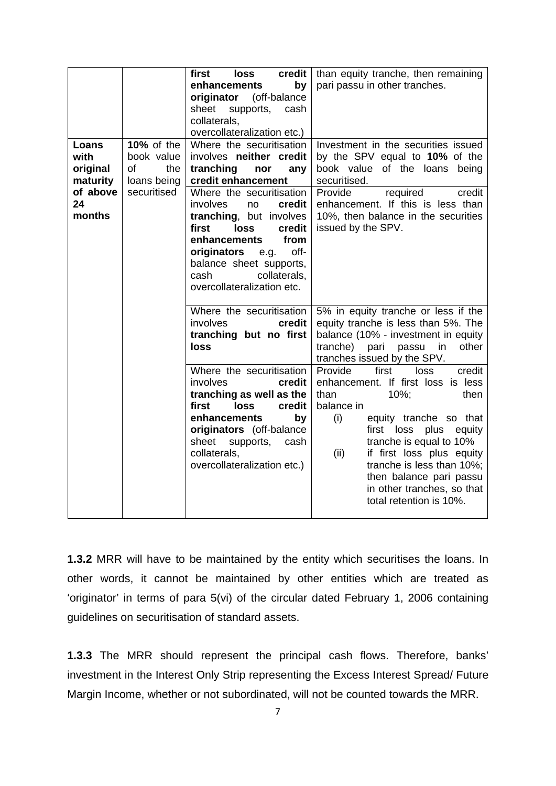| Loans<br>with                                    | <b>10%</b> of the<br>book value         | first<br>loss<br>credit<br>by<br>enhancements<br>originator (off-balance<br>sheet<br>supports,<br>cash<br>collaterals,<br>overcollateralization etc.)<br>Where the securitisation<br>involves neither credit                                                                                                          | than equity tranche, then remaining<br>pari passu in other tranches.<br>Investment in the securities issued<br>by the SPV equal to 10% of the                                                                                                                                                                                                                                                                                                                                                                                                        |
|--------------------------------------------------|-----------------------------------------|-----------------------------------------------------------------------------------------------------------------------------------------------------------------------------------------------------------------------------------------------------------------------------------------------------------------------|------------------------------------------------------------------------------------------------------------------------------------------------------------------------------------------------------------------------------------------------------------------------------------------------------------------------------------------------------------------------------------------------------------------------------------------------------------------------------------------------------------------------------------------------------|
| original<br>maturity<br>of above<br>24<br>months | the<br>of<br>loans being<br>securitised | tranching<br>nor<br>any<br>credit enhancement<br>Where the securitisation<br>involves<br>credit<br>no<br>tranching, but involves<br>first<br>loss<br>credit<br>from<br>enhancements<br>off-<br>originators<br>e.g.<br>balance sheet supports,<br>collaterals,<br>cash<br>overcollateralization etc.                   | book value of the loans being<br>securitised.<br>Provide<br>required<br>credit<br>enhancement. If this is less than<br>10%, then balance in the securities<br>issued by the SPV.                                                                                                                                                                                                                                                                                                                                                                     |
|                                                  |                                         | Where the securitisation<br>involves<br>credit<br>tranching but no first<br>loss<br>Where the securitisation<br>involves<br>credit<br>tranching as well as the<br>first<br>loss<br>credit<br>enhancements<br>by<br>originators (off-balance<br>sheet<br>supports, cash<br>collaterals,<br>overcollateralization etc.) | 5% in equity tranche or less if the<br>equity tranche is less than 5%. The<br>balance (10% - investment in equity<br>tranche) pari passu in<br>other<br>tranches issued by the SPV.<br>Provide<br>loss<br>first<br>credit<br>enhancement. If first loss is less<br>10%;<br>than<br>then<br>balance in<br>(i)<br>equity tranche so that<br>first loss plus<br>equity<br>tranche is equal to 10%<br>if first loss plus equity<br>(ii)<br>tranche is less than 10%;<br>then balance pari passu<br>in other tranches, so that<br>total retention is 10%. |

**1.3.2** MRR will have to be maintained by the entity which securitises the loans. In other words, it cannot be maintained by other entities which are treated as 'originator' in terms of para 5(vi) of the circular dated February 1, 2006 containing guidelines on securitisation of standard assets.

**1.3.3** The MRR should represent the principal cash flows. Therefore, banks' investment in the Interest Only Strip representing the Excess Interest Spread/ Future Margin Income, whether or not subordinated, will not be counted towards the MRR.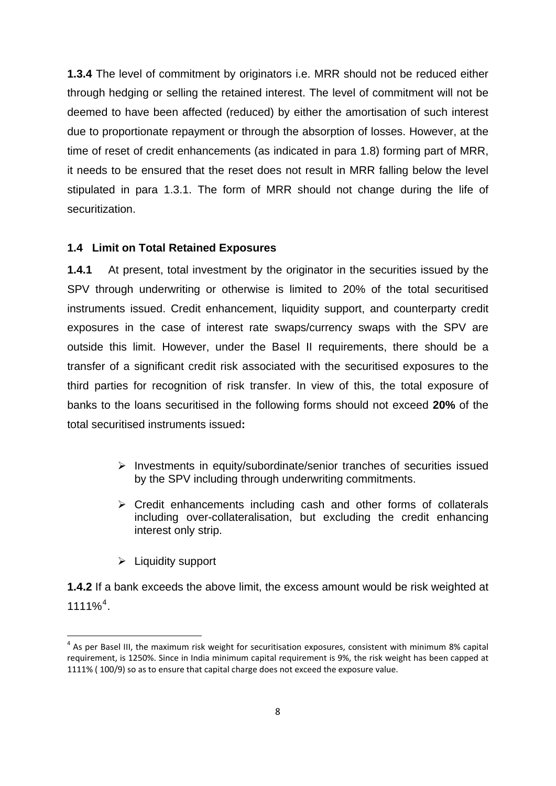<span id="page-7-0"></span>**1.3.4** The level of commitment by originators i.e. MRR should not be reduced either through hedging or selling the retained interest. The level of commitment will not be deemed to have been affected (reduced) by either the amortisation of such interest due to proportionate repayment or through the absorption of losses. However, at the time of reset of credit enhancements (as indicated in para 1.8) forming part of MRR, it needs to be ensured that the reset does not result in MRR falling below the level stipulated in para 1.3.1. The form of MRR should not change during the life of securitization.

#### **1.4 Limit on Total Retained Exposures**

**1.4.1** At present, total investment by the originator in the securities issued by the SPV through underwriting or otherwise is limited to 20% of the total securitised instruments issued. Credit enhancement, liquidity support, and counterparty credit exposures in the case of interest rate swaps/currency swaps with the SPV are outside this limit. However, under the Basel II requirements, there should be a transfer of a significant credit risk associated with the securitised exposures to the third parties for recognition of risk transfer. In view of this, the total exposure of banks to the loans securitised in the following forms should not exceed **20%** of the total securitised instruments issued**:**

- ¾ Investments in equity/subordinate/senior tranches of securities issued by the SPV including through underwriting commitments.
- $\triangleright$  Credit enhancements including cash and other forms of collaterals including over-collateralisation, but excluding the credit enhancing interest only strip.
- $\blacktriangleright$  Liquidity support

**1.4.2** If a bank exceeds the above limit, the excess amount would be risk weighted at  $1111\%$ <sup>[4](#page-7-0)</sup>.

 $4$  As per Basel III, the maximum risk weight for securitisation exposures, consistent with minimum 8% capital requirement, is 1250%. Since in India minimum capital requirement is 9%, the risk weight has been capped at 1111% ( 100/9) so as to ensure that capital charge does not exceed the exposure value.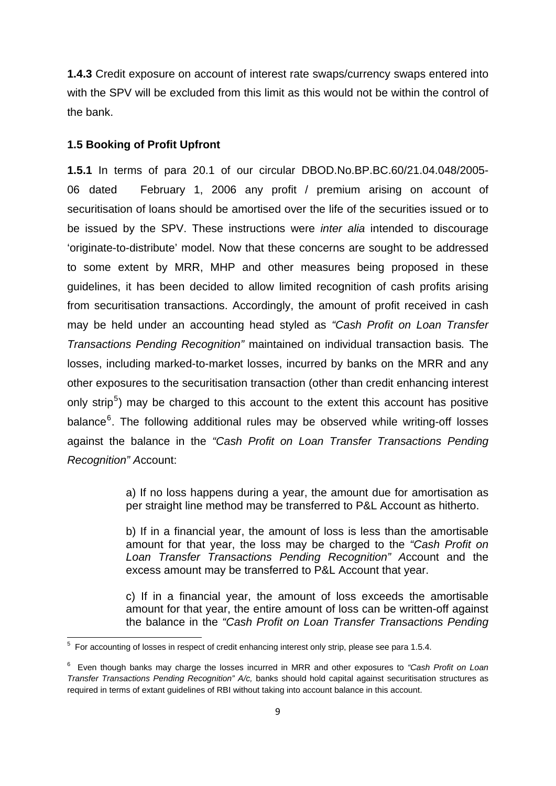<span id="page-8-0"></span>**1.4.3** Credit exposure on account of interest rate swaps/currency swaps entered into with the SPV will be excluded from this limit as this would not be within the control of the bank.

#### **1.5 Booking of Profit Upfront**

**1.5.1** In terms of para 20.1 of our circular DBOD.No.BP.BC.60/21.04.048/2005- 06 dated February 1, 2006 any profit / premium arising on account of securitisation of loans should be amortised over the life of the securities issued or to be issued by the SPV. These instructions were *inter alia* intended to discourage 'originate-to-distribute' model. Now that these concerns are sought to be addressed to some extent by MRR, MHP and other measures being proposed in these guidelines, it has been decided to allow limited recognition of cash profits arising from securitisation transactions. Accordingly, the amount of profit received in cash may be held under an accounting head styled as *"Cash Profit on Loan Transfer Transactions Pending Recognition"* maintained on individual transaction basis*.* The losses, including marked-to-market losses, incurred by banks on the MRR and any other exposures to the securitisation transaction (other than credit enhancing interest only strip<sup>[5](#page-8-0)</sup>) may be charged to this account to the extent this account has positive balance<sup>[6](#page-8-0)</sup>. The following additional rules may be observed while writing-off losses against the balance in the *"Cash Profit on Loan Transfer Transactions Pending Recognition" A*ccount:

> a) If no loss happens during a year, the amount due for amortisation as per straight line method may be transferred to P&L Account as hitherto.

> b) If in a financial year, the amount of loss is less than the amortisable amount for that year, the loss may be charged to the *"Cash Profit on Loan Transfer Transactions Pending Recognition" A*ccount and the excess amount may be transferred to P&L Account that year.

> c) If in a financial year, the amount of loss exceeds the amortisable amount for that year, the entire amount of loss can be written-off against the balance in the *"Cash Profit on Loan Transfer Transactions Pending*

 5 For accounting of losses in respect of credit enhancing interest only strip, please see para 1.5.4.

<sup>6</sup> Even though banks may charge the losses incurred in MRR and other exposures to *"Cash Profit on Loan Transfer Transactions Pending Recognition" A/c,* banks should hold capital against securitisation structures as required in terms of extant guidelines of RBI without taking into account balance in this account.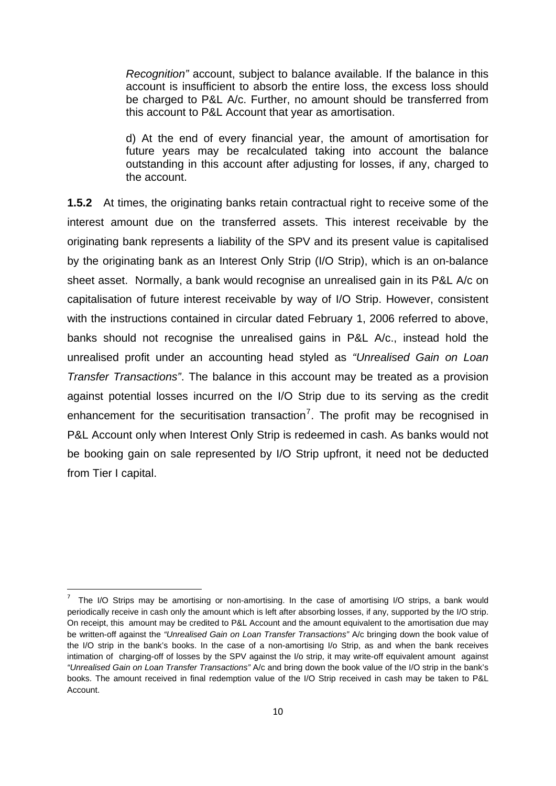<span id="page-9-0"></span>*Recognition"* account, subject to balance available. If the balance in this account is insufficient to absorb the entire loss, the excess loss should be charged to P&L A/c. Further, no amount should be transferred from this account to P&L Account that year as amortisation.

d) At the end of every financial year, the amount of amortisation for future years may be recalculated taking into account the balance outstanding in this account after adjusting for losses, if any, charged to the account.

**1.5.2** At times, the originating banks retain contractual right to receive some of the interest amount due on the transferred assets. This interest receivable by the originating bank represents a liability of the SPV and its present value is capitalised by the originating bank as an Interest Only Strip (I/O Strip), which is an on-balance sheet asset. Normally, a bank would recognise an unrealised gain in its P&L A/c on capitalisation of future interest receivable by way of I/O Strip. However, consistent with the instructions contained in circular dated February 1, 2006 referred to above, banks should not recognise the unrealised gains in P&L A/c., instead hold the unrealised profit under an accounting head styled as *"Unrealised Gain on Loan Transfer Transactions"*. The balance in this account may be treated as a provision against potential losses incurred on the I/O Strip due to its serving as the credit enhancement for the securitisation transaction<sup>[7](#page-9-0)</sup>. The profit may be recognised in P&L Account only when Interest Only Strip is redeemed in cash. As banks would not be booking gain on sale represented by I/O Strip upfront, it need not be deducted from Tier I capital.

<sup>7</sup> The I/O Strips may be amortising or non-amortising. In the case of amortising I/O strips, a bank would periodically receive in cash only the amount which is left after absorbing losses, if any, supported by the I/O strip. On receipt, this amount may be credited to P&L Account and the amount equivalent to the amortisation due may be written-off against the *"Unrealised Gain on Loan Transfer Transactions"* A/c bringing down the book value of the I/O strip in the bank's books. In the case of a non-amortising I/o Strip, as and when the bank receives intimation of charging-off of losses by the SPV against the I/o strip, it may write-off equivalent amount against *"Unrealised Gain on Loan Transfer Transactions"* A/c and bring down the book value of the I/O strip in the bank's books. The amount received in final redemption value of the I/O Strip received in cash may be taken to P&L Account.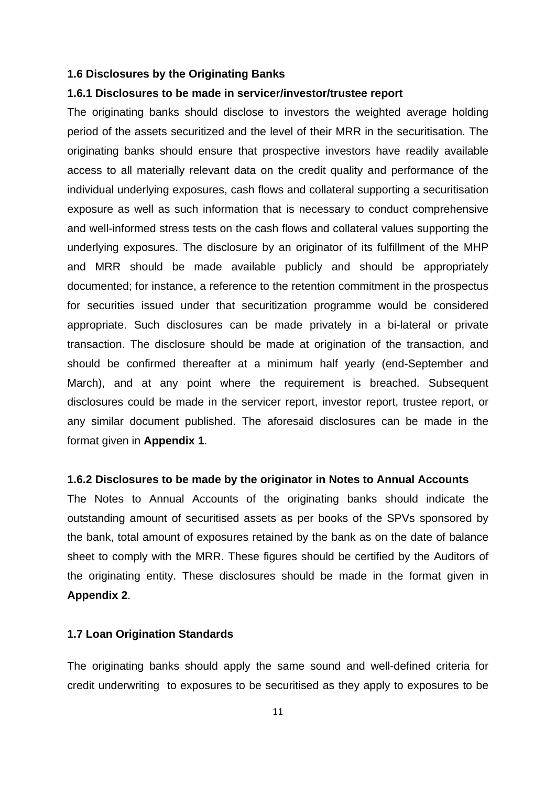#### **1.6 Disclosures by the Originating Banks**

#### **1.6.1 Disclosures to be made in servicer/investor/trustee report**

The originating banks should disclose to investors the weighted average holding period of the assets securitized and the level of their MRR in the securitisation. The originating banks should ensure that prospective investors have readily available access to all materially relevant data on the credit quality and performance of the individual underlying exposures, cash flows and collateral supporting a securitisation exposure as well as such information that is necessary to conduct comprehensive and well-informed stress tests on the cash flows and collateral values supporting the underlying exposures. The disclosure by an originator of its fulfillment of the MHP and MRR should be made available publicly and should be appropriately documented; for instance, a reference to the retention commitment in the prospectus for securities issued under that securitization programme would be considered appropriate. Such disclosures can be made privately in a bi-lateral or private transaction. The disclosure should be made at origination of the transaction, and should be confirmed thereafter at a minimum half yearly (end-September and March), and at any point where the requirement is breached. Subsequent disclosures could be made in the servicer report, investor report, trustee report, or any similar document published. The aforesaid disclosures can be made in the format given in **Appendix 1**.

#### **1.6.2 Disclosures to be made by the originator in Notes to Annual Accounts**

The Notes to Annual Accounts of the originating banks should indicate the outstanding amount of securitised assets as per books of the SPVs sponsored by the bank, total amount of exposures retained by the bank as on the date of balance sheet to comply with the MRR. These figures should be certified by the Auditors of the originating entity. These disclosures should be made in the format given in **Appendix 2**.

#### **1.7 Loan Origination Standards**

The originating banks should apply the same sound and well-defined criteria for credit underwriting to exposures to be securitised as they apply to exposures to be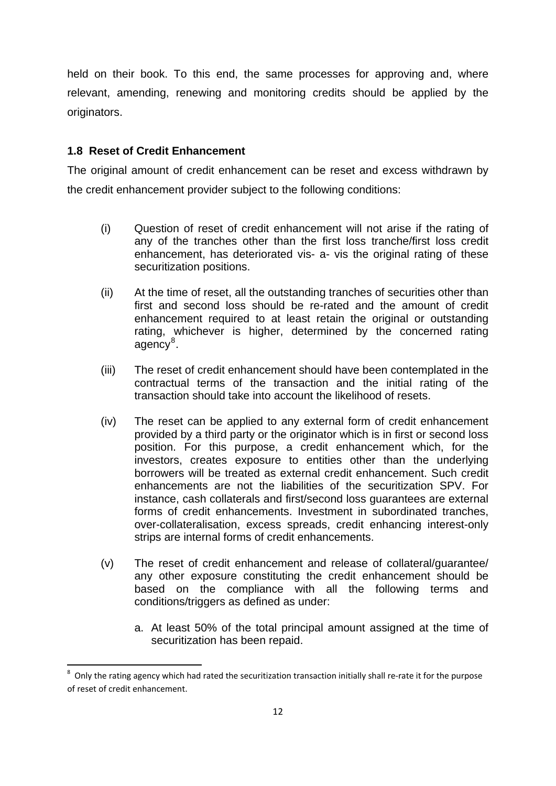<span id="page-11-0"></span>held on their book. To this end, the same processes for approving and, where relevant, amending, renewing and monitoring credits should be applied by the originators.

### **1.8 Reset of Credit Enhancement**

The original amount of credit enhancement can be reset and excess withdrawn by the credit enhancement provider subject to the following conditions:

- (i) Question of reset of credit enhancement will not arise if the rating of any of the tranches other than the first loss tranche/first loss credit enhancement, has deteriorated vis- a- vis the original rating of these securitization positions.
- (ii) At the time of reset, all the outstanding tranches of securities other than first and second loss should be re-rated and the amount of credit enhancement required to at least retain the original or outstanding rating, whichever is higher, determined by the concerned rating agency<sup>[8](#page-11-0)</sup>.
- (iii) The reset of credit enhancement should have been contemplated in the contractual terms of the transaction and the initial rating of the transaction should take into account the likelihood of resets.
- (iv) The reset can be applied to any external form of credit enhancement provided by a third party or the originator which is in first or second loss position. For this purpose, a credit enhancement which, for the investors, creates exposure to entities other than the underlying borrowers will be treated as external credit enhancement. Such credit enhancements are not the liabilities of the securitization SPV. For instance, cash collaterals and first/second loss guarantees are external forms of credit enhancements. Investment in subordinated tranches, over-collateralisation, excess spreads, credit enhancing interest-only strips are internal forms of credit enhancements.
- (v) The reset of credit enhancement and release of collateral/guarantee/ any other exposure constituting the credit enhancement should be based on the compliance with all the following terms and conditions/triggers as defined as under:
	- a. At least 50% of the total principal amount assigned at the time of securitization has been repaid.

 8 Only the rating agency which had rated the securitization transaction initially shall re‐rate it for the purpose of reset of credit enhancement.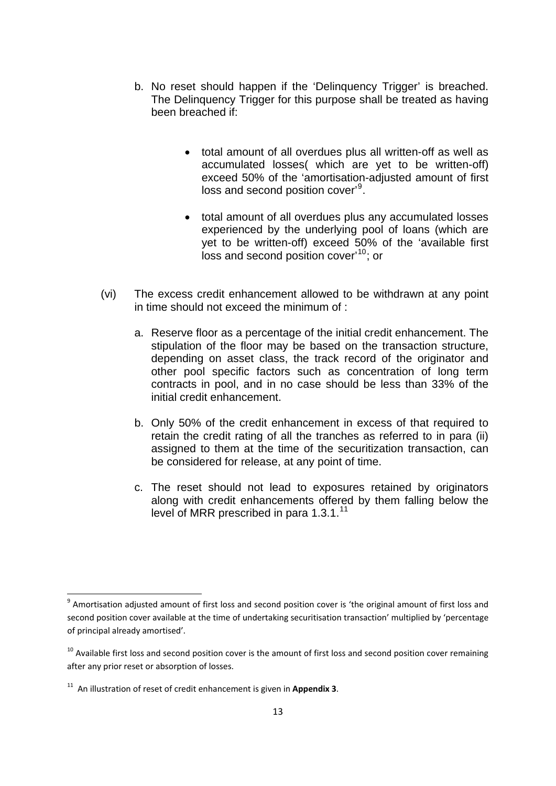- <span id="page-12-0"></span>b. No reset should happen if the 'Delinquency Trigger' is breached. The Delinquency Trigger for this purpose shall be treated as having been breached if:
	- total amount of all overdues plus all written-off as well as accumulated losses( which are yet to be written-off) exceed 50% of the 'amortisation-adjusted amount of first loss and second position cover'<sup>[9](#page-12-0)</sup>.
	- total amount of all overdues plus any accumulated losses experienced by the underlying pool of loans (which are yet to be written-off) exceed 50% of the 'available first loss and second position cover<sup>[10](#page-12-0)</sup>; or
- (vi) The excess credit enhancement allowed to be withdrawn at any point in time should not exceed the minimum of :
	- a. Reserve floor as a percentage of the initial credit enhancement. The stipulation of the floor may be based on the transaction structure, depending on asset class, the track record of the originator and other pool specific factors such as concentration of long term contracts in pool, and in no case should be less than 33% of the initial credit enhancement.
	- b. Only 50% of the credit enhancement in excess of that required to retain the credit rating of all the tranches as referred to in para (ii) assigned to them at the time of the securitization transaction, can be considered for release, at any point of time.
	- c. The reset should not lead to exposures retained by originators along with credit enhancements offered by them falling below the level of MRR prescribed in para 1.3.1.<sup>[11](#page-12-0)</sup>

 $9$  Amortisation adjusted amount of first loss and second position cover is 'the original amount of first loss and second position cover available at the time of undertaking securitisation transaction' multiplied by 'percentage of principal already amortised'.

 $10$  Available first loss and second position cover is the amount of first loss and second position cover remaining after any prior reset or absorption of losses.

<sup>11</sup> An illustration of reset of credit enhancement is given in **Appendix 3**.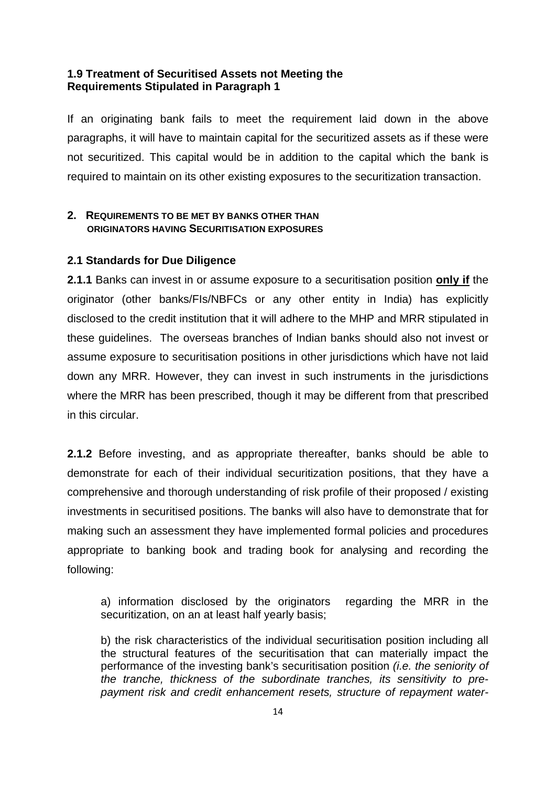#### **1.9 Treatment of Securitised Assets not Meeting the Requirements Stipulated in Paragraph 1**

If an originating bank fails to meet the requirement laid down in the above paragraphs, it will have to maintain capital for the securitized assets as if these were not securitized. This capital would be in addition to the capital which the bank is required to maintain on its other existing exposures to the securitization transaction.

### **2. REQUIREMENTS TO BE MET BY BANKS OTHER THAN ORIGINATORS HAVING SECURITISATION EXPOSURES**

### **2.1 Standards for Due Diligence**

**2.1.1** Banks can invest in or assume exposure to a securitisation position **only if** the originator (other banks/FIs/NBFCs or any other entity in India) has explicitly disclosed to the credit institution that it will adhere to the MHP and MRR stipulated in these guidelines. The overseas branches of Indian banks should also not invest or assume exposure to securitisation positions in other jurisdictions which have not laid down any MRR. However, they can invest in such instruments in the jurisdictions where the MRR has been prescribed, though it may be different from that prescribed in this circular.

**2.1.2** Before investing, and as appropriate thereafter, banks should be able to demonstrate for each of their individual securitization positions, that they have a comprehensive and thorough understanding of risk profile of their proposed / existing investments in securitised positions. The banks will also have to demonstrate that for making such an assessment they have implemented formal policies and procedures appropriate to banking book and trading book for analysing and recording the following:

a) information disclosed by the originators regarding the MRR in the securitization, on an at least half yearly basis;

b) the risk characteristics of the individual securitisation position including all the structural features of the securitisation that can materially impact the performance of the investing bank's securitisation position *(i.e. the seniority of the tranche, thickness of the subordinate tranches, its sensitivity to prepayment risk and credit enhancement resets, structure of repayment water-*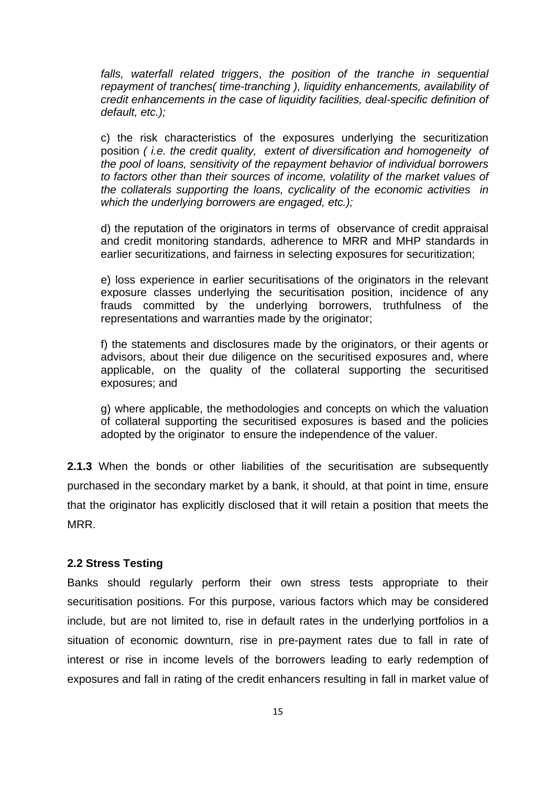*falls, waterfall related triggers*, *the position of the tranche in sequential repayment of tranches( time-tranching ), liquidity enhancements, availability of credit enhancements in the case of liquidity facilities, deal-specific definition of default, etc.);* 

c) the risk characteristics of the exposures underlying the securitization position *( i.e. the credit quality, extent of diversification and homogeneity of the pool of loans, sensitivity of the repayment behavior of individual borrowers to factors other than their sources of income, volatility of the market values of the collaterals supporting the loans, cyclicality of the economic activities in which the underlying borrowers are engaged, etc.);*

d) the reputation of the originators in terms of observance of credit appraisal and credit monitoring standards, adherence to MRR and MHP standards in earlier securitizations, and fairness in selecting exposures for securitization;

e) loss experience in earlier securitisations of the originators in the relevant exposure classes underlying the securitisation position, incidence of any frauds committed by the underlying borrowers, truthfulness of the representations and warranties made by the originator;

f) the statements and disclosures made by the originators, or their agents or advisors, about their due diligence on the securitised exposures and, where applicable, on the quality of the collateral supporting the securitised exposures; and

g) where applicable, the methodologies and concepts on which the valuation of collateral supporting the securitised exposures is based and the policies adopted by the originator to ensure the independence of the valuer.

**2.1.3** When the bonds or other liabilities of the securitisation are subsequently purchased in the secondary market by a bank, it should, at that point in time, ensure that the originator has explicitly disclosed that it will retain a position that meets the MRR.

#### **2.2 Stress Testing**

Banks should regularly perform their own stress tests appropriate to their securitisation positions. For this purpose, various factors which may be considered include, but are not limited to, rise in default rates in the underlying portfolios in a situation of economic downturn, rise in pre-payment rates due to fall in rate of interest or rise in income levels of the borrowers leading to early redemption of exposures and fall in rating of the credit enhancers resulting in fall in market value of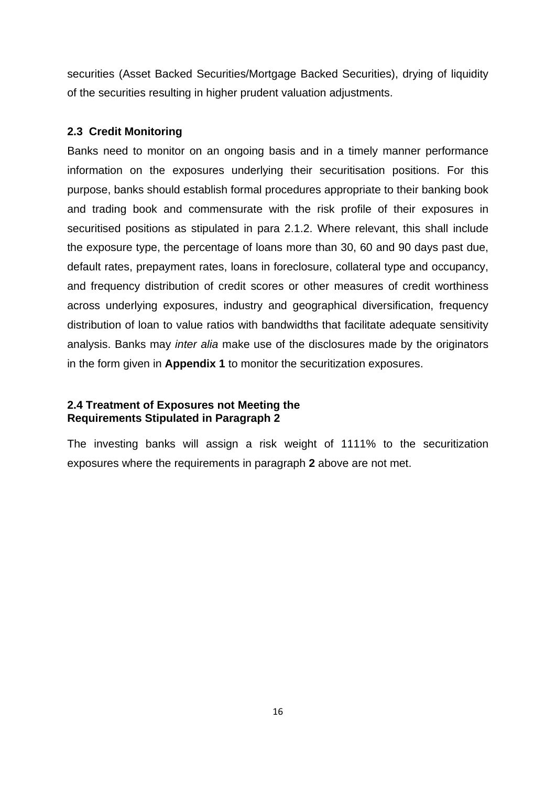securities (Asset Backed Securities/Mortgage Backed Securities), drying of liquidity of the securities resulting in higher prudent valuation adjustments.

#### **2.3 Credit Monitoring**

Banks need to monitor on an ongoing basis and in a timely manner performance information on the exposures underlying their securitisation positions. For this purpose, banks should establish formal procedures appropriate to their banking book and trading book and commensurate with the risk profile of their exposures in securitised positions as stipulated in para 2.1.2. Where relevant, this shall include the exposure type, the percentage of loans more than 30, 60 and 90 days past due, default rates, prepayment rates, loans in foreclosure, collateral type and occupancy, and frequency distribution of credit scores or other measures of credit worthiness across underlying exposures, industry and geographical diversification, frequency distribution of loan to value ratios with bandwidths that facilitate adequate sensitivity analysis. Banks may *inter alia* make use of the disclosures made by the originators in the form given in **Appendix 1** to monitor the securitization exposures.

#### **2.4 Treatment of Exposures not Meeting the Requirements Stipulated in Paragraph 2**

The investing banks will assign a risk weight of 1111% to the securitization exposures where the requirements in paragraph **2** above are not met.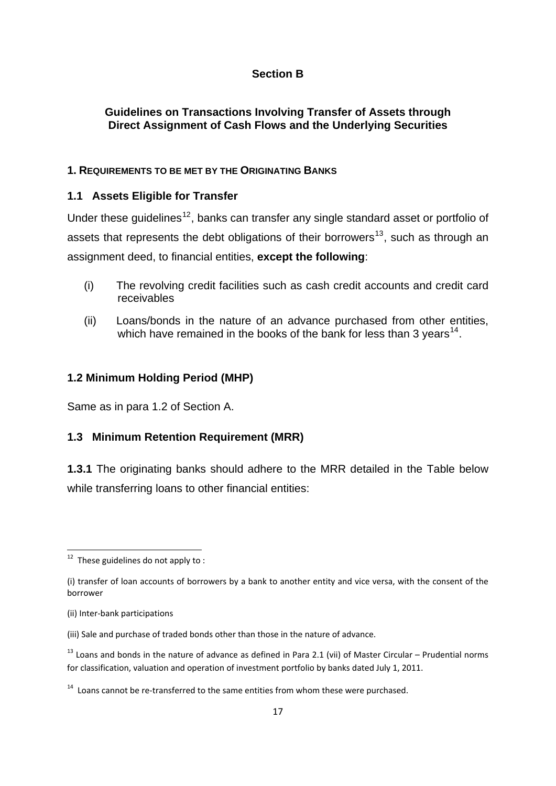### **Section B**

### <span id="page-16-0"></span>**Guidelines on Transactions Involving Transfer of Assets through Direct Assignment of Cash Flows and the Underlying Securities**

### **1. REQUIREMENTS TO BE MET BY THE ORIGINATING BANKS**

### **1.1 Assets Eligible for Transfer**

Under these guidelines<sup>[12](#page-16-0)</sup>, banks can transfer any single standard asset or portfolio of assets that represents the debt obligations of their borrowers<sup>[13](#page-16-0)</sup>, such as through an assignment deed, to financial entities, **except the following**:

- (i) The revolving credit facilities such as cash credit accounts and credit card receivables
- (ii) Loans/bonds in the nature of an advance purchased from other entities, which have remained in the books of the bank for less than 3 years<sup>[14](#page-16-0)</sup>.

### **1.2 Minimum Holding Period (MHP)**

Same as in para 1.2 of Section A.

### **1.3 Minimum Retention Requirement (MRR)**

**1.3.1** The originating banks should adhere to the MRR detailed in the Table below while transferring loans to other financial entities:

  $12$  These guidelines do not apply to :

<sup>(</sup>i) transfer of loan accounts of borrowers by a bank to another entity and vice versa, with the consent of the borrower

<sup>(</sup>ii) Inter‐bank participations

<sup>(</sup>iii) Sale and purchase of traded bonds other than those in the nature of advance.

 $13$  Loans and bonds in the nature of advance as defined in Para 2.1 (vii) of Master Circular – Prudential norms for classification, valuation and operation of investment portfolio by banks dated July 1, 2011.

 $14$  Loans cannot be re-transferred to the same entities from whom these were purchased.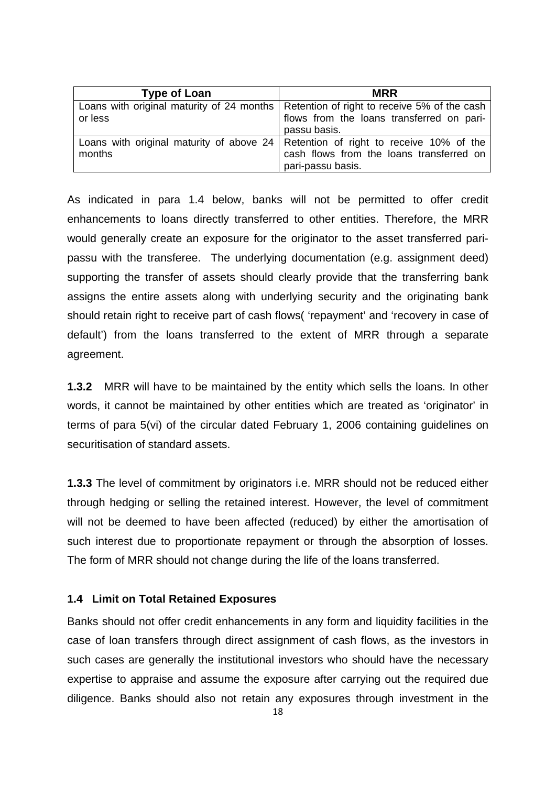| <b>Type of Loan</b> | <b>MRR</b>                                                                               |
|---------------------|------------------------------------------------------------------------------------------|
|                     | Loans with original maturity of 24 months   Retention of right to receive 5% of the cash |
| or less             | flows from the loans transferred on pari-                                                |
|                     | passu basis.                                                                             |
|                     | Loans with original maturity of above $24$ Retention of right to receive 10% of the      |
| months              | cash flows from the loans transferred on                                                 |
|                     | pari-passu basis.                                                                        |

As indicated in para 1.4 below, banks will not be permitted to offer credit enhancements to loans directly transferred to other entities. Therefore, the MRR would generally create an exposure for the originator to the asset transferred paripassu with the transferee. The underlying documentation (e.g. assignment deed) supporting the transfer of assets should clearly provide that the transferring bank assigns the entire assets along with underlying security and the originating bank should retain right to receive part of cash flows( 'repayment' and 'recovery in case of default') from the loans transferred to the extent of MRR through a separate agreement.

**1.3.2** MRR will have to be maintained by the entity which sells the loans. In other words, it cannot be maintained by other entities which are treated as 'originator' in terms of para 5(vi) of the circular dated February 1, 2006 containing guidelines on securitisation of standard assets.

**1.3.3** The level of commitment by originators i.e. MRR should not be reduced either through hedging or selling the retained interest. However, the level of commitment will not be deemed to have been affected (reduced) by either the amortisation of such interest due to proportionate repayment or through the absorption of losses. The form of MRR should not change during the life of the loans transferred.

#### **1.4 Limit on Total Retained Exposures**

Banks should not offer credit enhancements in any form and liquidity facilities in the case of loan transfers through direct assignment of cash flows, as the investors in such cases are generally the institutional investors who should have the necessary expertise to appraise and assume the exposure after carrying out the required due diligence. Banks should also not retain any exposures through investment in the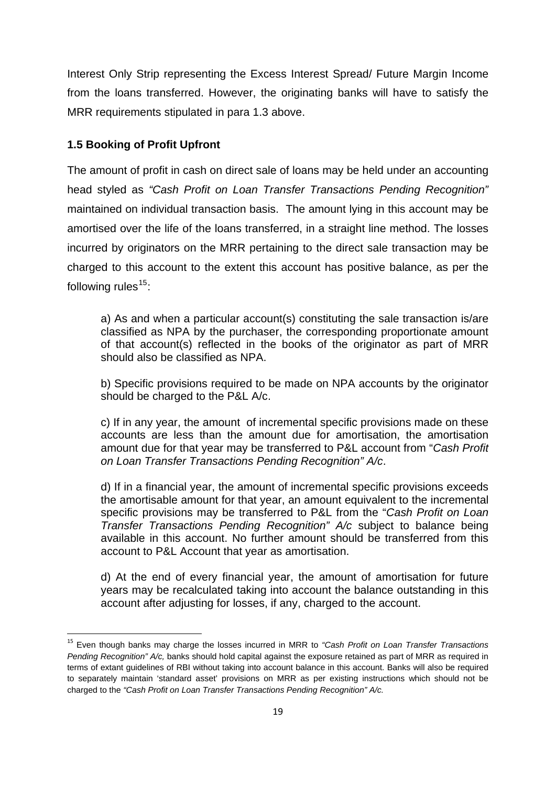<span id="page-18-0"></span>Interest Only Strip representing the Excess Interest Spread/ Future Margin Income from the loans transferred. However, the originating banks will have to satisfy the MRR requirements stipulated in para 1.3 above.

### **1.5 Booking of Profit Upfront**

The amount of profit in cash on direct sale of loans may be held under an accounting head styled as *"Cash Profit on Loan Transfer Transactions Pending Recognition"*  maintained on individual transaction basis. The amount lying in this account may be amortised over the life of the loans transferred, in a straight line method. The losses incurred by originators on the MRR pertaining to the direct sale transaction may be charged to this account to the extent this account has positive balance, as per the following rules $15$ :

a) As and when a particular account(s) constituting the sale transaction is/are classified as NPA by the purchaser, the corresponding proportionate amount of that account(s) reflected in the books of the originator as part of MRR should also be classified as NPA.

b) Specific provisions required to be made on NPA accounts by the originator should be charged to the P&L A/c.

c) If in any year, the amount of incremental specific provisions made on these accounts are less than the amount due for amortisation, the amortisation amount due for that year may be transferred to P&L account from "*Cash Profit on Loan Transfer Transactions Pending Recognition" A/c*.

d) If in a financial year, the amount of incremental specific provisions exceeds the amortisable amount for that year, an amount equivalent to the incremental specific provisions may be transferred to P&L from the "*Cash Profit on Loan Transfer Transactions Pending Recognition" A/c* subject to balance being available in this account. No further amount should be transferred from this account to P&L Account that year as amortisation.

d) At the end of every financial year, the amount of amortisation for future years may be recalculated taking into account the balance outstanding in this account after adjusting for losses, if any, charged to the account.

<sup>15</sup> Even though banks may charge the losses incurred in MRR to *"Cash Profit on Loan Transfer Transactions Pending Recognition" A/c,* banks should hold capital against the exposure retained as part of MRR as required in terms of extant guidelines of RBI without taking into account balance in this account. Banks will also be required to separately maintain 'standard asset' provisions on MRR as per existing instructions which should not be charged to the *"Cash Profit on Loan Transfer Transactions Pending Recognition" A/c.*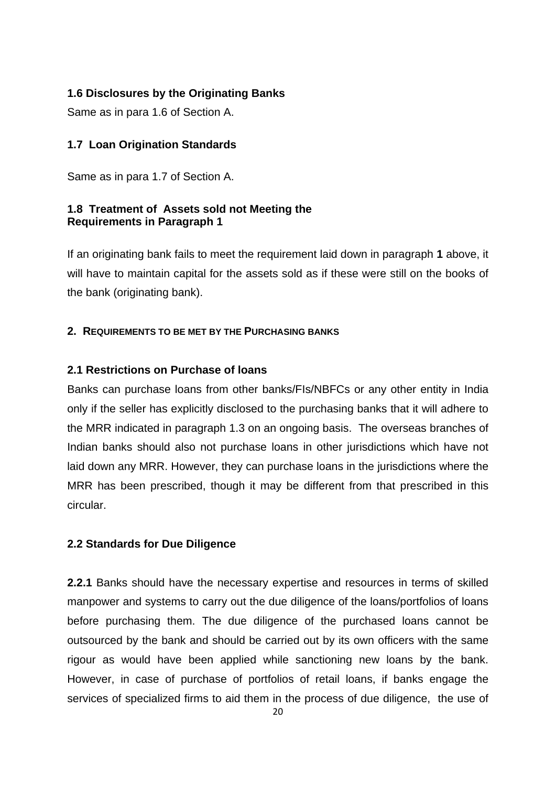### **1.6 Disclosures by the Originating Banks**

Same as in para 1.6 of Section A.

### **1.7 Loan Origination Standards**

Same as in para 1.7 of Section A.

### **1.8 Treatment of Assets sold not Meeting the Requirements in Paragraph 1**

If an originating bank fails to meet the requirement laid down in paragraph **1** above, it will have to maintain capital for the assets sold as if these were still on the books of the bank (originating bank).

### **2. REQUIREMENTS TO BE MET BY THE PURCHASING BANKS**

### **2.1 Restrictions on Purchase of loans**

Banks can purchase loans from other banks/FIs/NBFCs or any other entity in India only if the seller has explicitly disclosed to the purchasing banks that it will adhere to the MRR indicated in paragraph 1.3 on an ongoing basis. The overseas branches of Indian banks should also not purchase loans in other jurisdictions which have not laid down any MRR. However, they can purchase loans in the jurisdictions where the MRR has been prescribed, though it may be different from that prescribed in this circular.

### **2.2 Standards for Due Diligence**

**2.2.1** Banks should have the necessary expertise and resources in terms of skilled manpower and systems to carry out the due diligence of the loans/portfolios of loans before purchasing them. The due diligence of the purchased loans cannot be outsourced by the bank and should be carried out by its own officers with the same rigour as would have been applied while sanctioning new loans by the bank. However, in case of purchase of portfolios of retail loans, if banks engage the services of specialized firms to aid them in the process of due diligence, the use of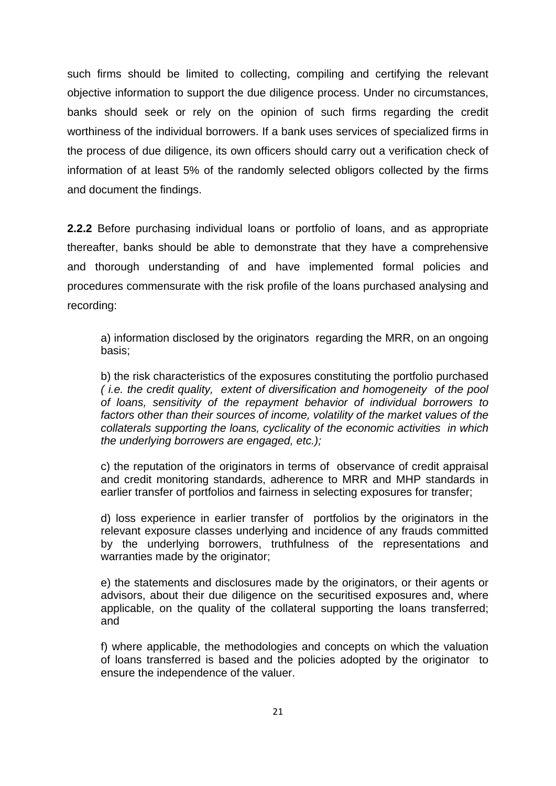such firms should be limited to collecting, compiling and certifying the relevant objective information to support the due diligence process. Under no circumstances, banks should seek or rely on the opinion of such firms regarding the credit worthiness of the individual borrowers. If a bank uses services of specialized firms in the process of due diligence, its own officers should carry out a verification check of information of at least 5% of the randomly selected obligors collected by the firms and document the findings.

**2.2.2** Before purchasing individual loans or portfolio of loans, and as appropriate thereafter, banks should be able to demonstrate that they have a comprehensive and thorough understanding of and have implemented formal policies and procedures commensurate with the risk profile of the loans purchased analysing and recording:

a) information disclosed by the originators regarding the MRR, on an ongoing basis;

b) the risk characteristics of the exposures constituting the portfolio purchased *( i.e. the credit quality, extent of diversification and homogeneity of the pool of loans, sensitivity of the repayment behavior of individual borrowers to factors other than their sources of income, volatility of the market values of the collaterals supporting the loans, cyclicality of the economic activities in which the underlying borrowers are engaged, etc.);*

c) the reputation of the originators in terms of observance of credit appraisal and credit monitoring standards, adherence to MRR and MHP standards in earlier transfer of portfolios and fairness in selecting exposures for transfer;

d) loss experience in earlier transfer of portfolios by the originators in the relevant exposure classes underlying and incidence of any frauds committed by the underlying borrowers, truthfulness of the representations and warranties made by the originator;

e) the statements and disclosures made by the originators, or their agents or advisors, about their due diligence on the securitised exposures and, where applicable, on the quality of the collateral supporting the loans transferred; and

f) where applicable, the methodologies and concepts on which the valuation of loans transferred is based and the policies adopted by the originator to ensure the independence of the valuer.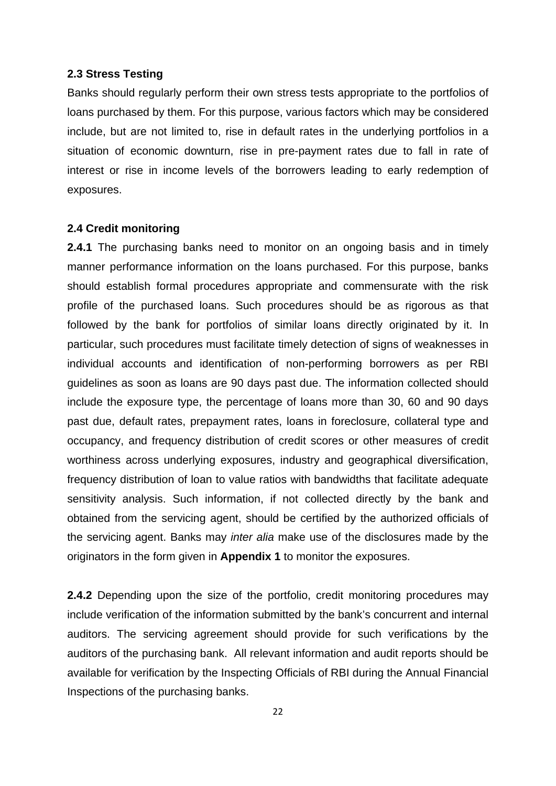#### **2.3 Stress Testing**

Banks should regularly perform their own stress tests appropriate to the portfolios of loans purchased by them. For this purpose, various factors which may be considered include, but are not limited to, rise in default rates in the underlying portfolios in a situation of economic downturn, rise in pre-payment rates due to fall in rate of interest or rise in income levels of the borrowers leading to early redemption of exposures.

#### **2.4 Credit monitoring**

**2.4.1** The purchasing banks need to monitor on an ongoing basis and in timely manner performance information on the loans purchased. For this purpose, banks should establish formal procedures appropriate and commensurate with the risk profile of the purchased loans. Such procedures should be as rigorous as that followed by the bank for portfolios of similar loans directly originated by it. In particular, such procedures must facilitate timely detection of signs of weaknesses in individual accounts and identification of non-performing borrowers as per RBI guidelines as soon as loans are 90 days past due. The information collected should include the exposure type, the percentage of loans more than 30, 60 and 90 days past due, default rates, prepayment rates, loans in foreclosure, collateral type and occupancy, and frequency distribution of credit scores or other measures of credit worthiness across underlying exposures, industry and geographical diversification, frequency distribution of loan to value ratios with bandwidths that facilitate adequate sensitivity analysis. Such information, if not collected directly by the bank and obtained from the servicing agent, should be certified by the authorized officials of the servicing agent. Banks may *inter alia* make use of the disclosures made by the originators in the form given in **Appendix 1** to monitor the exposures.

**2.4.2** Depending upon the size of the portfolio, credit monitoring procedures may include verification of the information submitted by the bank's concurrent and internal auditors. The servicing agreement should provide for such verifications by the auditors of the purchasing bank. All relevant information and audit reports should be available for verification by the Inspecting Officials of RBI during the Annual Financial Inspections of the purchasing banks.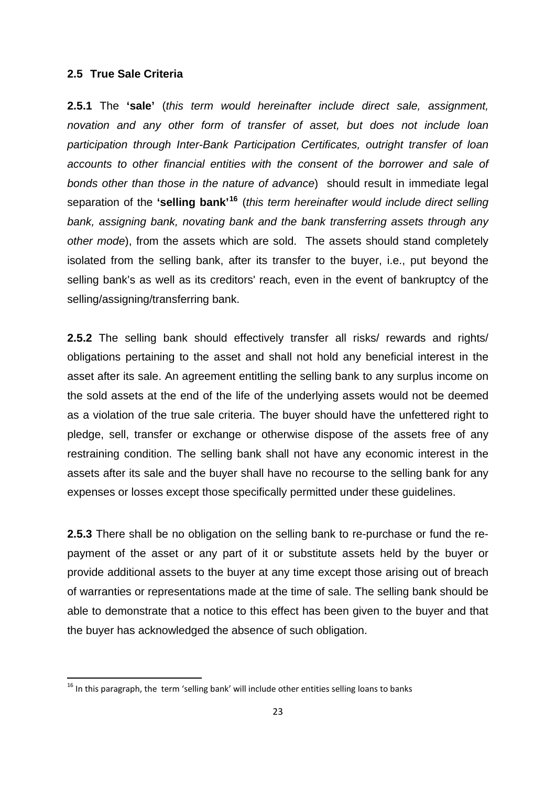#### <span id="page-22-0"></span>**2.5 True Sale Criteria**

**2.5.1** The **'sale'** (*this term would hereinafter include direct sale, assignment, novation and any other form of transfer of asset, but does not include loan participation through Inter-Bank Participation Certificates, outright transfer of loan accounts to other financial entities with the consent of the borrower and sale of bonds other than those in the nature of advance*) should result in immediate legal separation of the **'selling bank'[16](#page-22-0)** (*this term hereinafter would include direct selling bank, assigning bank, novating bank and the bank transferring assets through any other mode*), from the assets which are sold. The assets should stand completely isolated from the selling bank, after its transfer to the buyer, i.e., put beyond the selling bank's as well as its creditors' reach, even in the event of bankruptcy of the selling/assigning/transferring bank.

**2.5.2** The selling bank should effectively transfer all risks/ rewards and rights/ obligations pertaining to the asset and shall not hold any beneficial interest in the asset after its sale. An agreement entitling the selling bank to any surplus income on the sold assets at the end of the life of the underlying assets would not be deemed as a violation of the true sale criteria. The buyer should have the unfettered right to pledge, sell, transfer or exchange or otherwise dispose of the assets free of any restraining condition. The selling bank shall not have any economic interest in the assets after its sale and the buyer shall have no recourse to the selling bank for any expenses or losses except those specifically permitted under these guidelines.

**2.5.3** There shall be no obligation on the selling bank to re-purchase or fund the repayment of the asset or any part of it or substitute assets held by the buyer or provide additional assets to the buyer at any time except those arising out of breach of warranties or representations made at the time of sale. The selling bank should be able to demonstrate that a notice to this effect has been given to the buyer and that the buyer has acknowledged the absence of such obligation.

 $<sup>16</sup>$  In this paragraph, the term 'selling bank' will include other entities selling loans to banks</sup>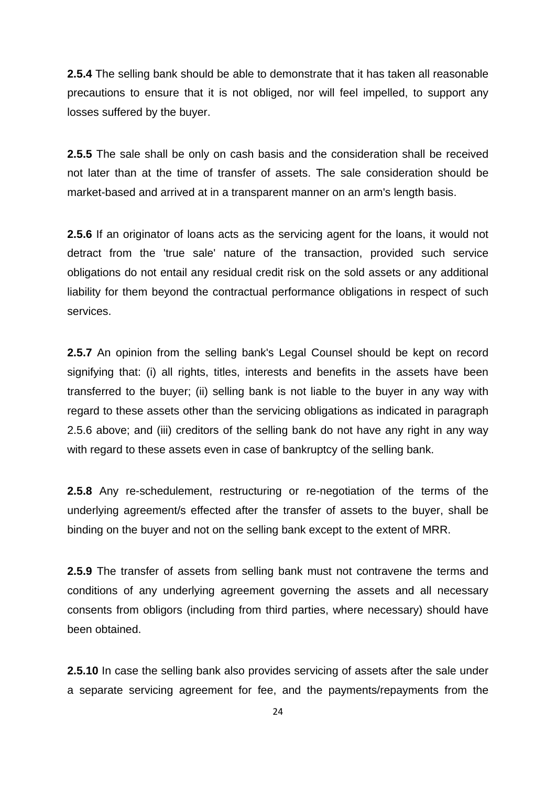**2.5.4** The selling bank should be able to demonstrate that it has taken all reasonable precautions to ensure that it is not obliged, nor will feel impelled, to support any losses suffered by the buyer.

**2.5.5** The sale shall be only on cash basis and the consideration shall be received not later than at the time of transfer of assets. The sale consideration should be market-based and arrived at in a transparent manner on an arm's length basis.

**2.5.6** If an originator of loans acts as the servicing agent for the loans, it would not detract from the 'true sale' nature of the transaction, provided such service obligations do not entail any residual credit risk on the sold assets or any additional liability for them beyond the contractual performance obligations in respect of such services.

**2.5.7** An opinion from the selling bank's Legal Counsel should be kept on record signifying that: (i) all rights, titles, interests and benefits in the assets have been transferred to the buyer; (ii) selling bank is not liable to the buyer in any way with regard to these assets other than the servicing obligations as indicated in paragraph 2.5.6 above; and (iii) creditors of the selling bank do not have any right in any way with regard to these assets even in case of bankruptcy of the selling bank.

**2.5.8** Any re-schedulement, restructuring or re-negotiation of the terms of the underlying agreement/s effected after the transfer of assets to the buyer, shall be binding on the buyer and not on the selling bank except to the extent of MRR.

**2.5.9** The transfer of assets from selling bank must not contravene the terms and conditions of any underlying agreement governing the assets and all necessary consents from obligors (including from third parties, where necessary) should have been obtained.

**2.5.10** In case the selling bank also provides servicing of assets after the sale under a separate servicing agreement for fee, and the payments/repayments from the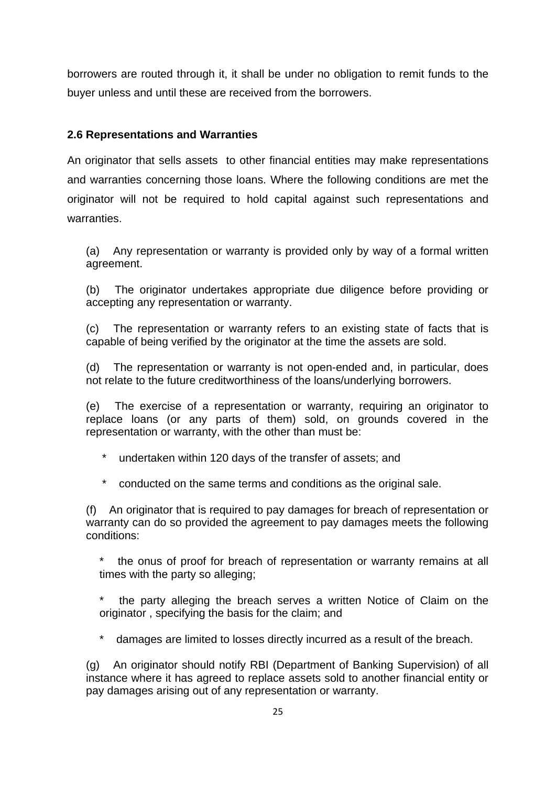borrowers are routed through it, it shall be under no obligation to remit funds to the buyer unless and until these are received from the borrowers.

### **2.6 Representations and Warranties**

An originator that sells assets to other financial entities may make representations and warranties concerning those loans. Where the following conditions are met the originator will not be required to hold capital against such representations and warranties.

(a) Any representation or warranty is provided only by way of a formal written agreement.

(b) The originator undertakes appropriate due diligence before providing or accepting any representation or warranty.

(c) The representation or warranty refers to an existing state of facts that is capable of being verified by the originator at the time the assets are sold.

(d) The representation or warranty is not open-ended and, in particular, does not relate to the future creditworthiness of the loans/underlying borrowers.

(e) The exercise of a representation or warranty, requiring an originator to replace loans (or any parts of them) sold, on grounds covered in the representation or warranty, with the other than must be:

undertaken within 120 days of the transfer of assets; and

conducted on the same terms and conditions as the original sale.

(f) An originator that is required to pay damages for breach of representation or warranty can do so provided the agreement to pay damages meets the following conditions:

the onus of proof for breach of representation or warranty remains at all times with the party so alleging;

the party alleging the breach serves a written Notice of Claim on the originator , specifying the basis for the claim; and

\* damages are limited to losses directly incurred as a result of the breach.

(g) An originator should notify RBI (Department of Banking Supervision) of all instance where it has agreed to replace assets sold to another financial entity or pay damages arising out of any representation or warranty.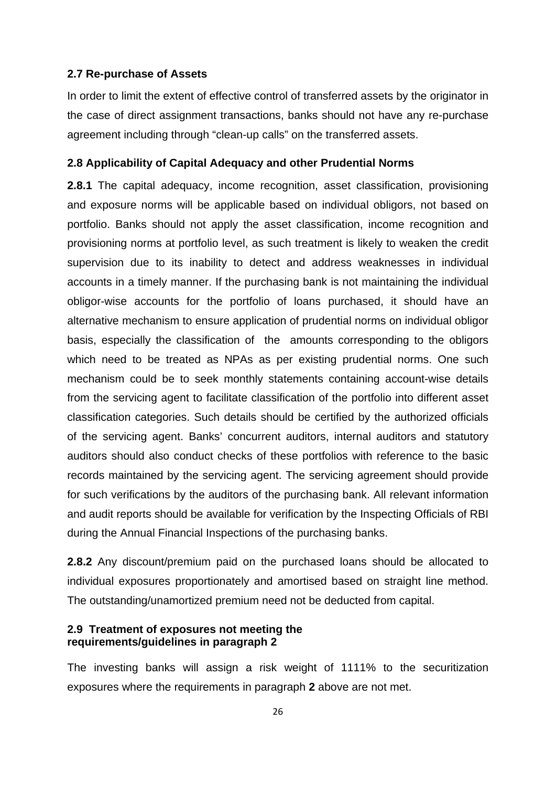#### **2.7 Re-purchase of Assets**

In order to limit the extent of effective control of transferred assets by the originator in the case of direct assignment transactions, banks should not have any re-purchase agreement including through "clean-up calls" on the transferred assets.

#### **2.8 Applicability of Capital Adequacy and other Prudential Norms**

**2.8.1** The capital adequacy, income recognition, asset classification, provisioning and exposure norms will be applicable based on individual obligors, not based on portfolio. Banks should not apply the asset classification, income recognition and provisioning norms at portfolio level, as such treatment is likely to weaken the credit supervision due to its inability to detect and address weaknesses in individual accounts in a timely manner. If the purchasing bank is not maintaining the individual obligor-wise accounts for the portfolio of loans purchased, it should have an alternative mechanism to ensure application of prudential norms on individual obligor basis, especially the classification of the amounts corresponding to the obligors which need to be treated as NPAs as per existing prudential norms. One such mechanism could be to seek monthly statements containing account-wise details from the servicing agent to facilitate classification of the portfolio into different asset classification categories. Such details should be certified by the authorized officials of the servicing agent. Banks' concurrent auditors, internal auditors and statutory auditors should also conduct checks of these portfolios with reference to the basic records maintained by the servicing agent. The servicing agreement should provide for such verifications by the auditors of the purchasing bank. All relevant information and audit reports should be available for verification by the Inspecting Officials of RBI during the Annual Financial Inspections of the purchasing banks.

**2.8.2** Any discount/premium paid on the purchased loans should be allocated to individual exposures proportionately and amortised based on straight line method. The outstanding/unamortized premium need not be deducted from capital.

#### **2.9 Treatment of exposures not meeting the requirements/guidelines in paragraph 2**

The investing banks will assign a risk weight of 1111% to the securitization exposures where the requirements in paragraph **2** above are not met.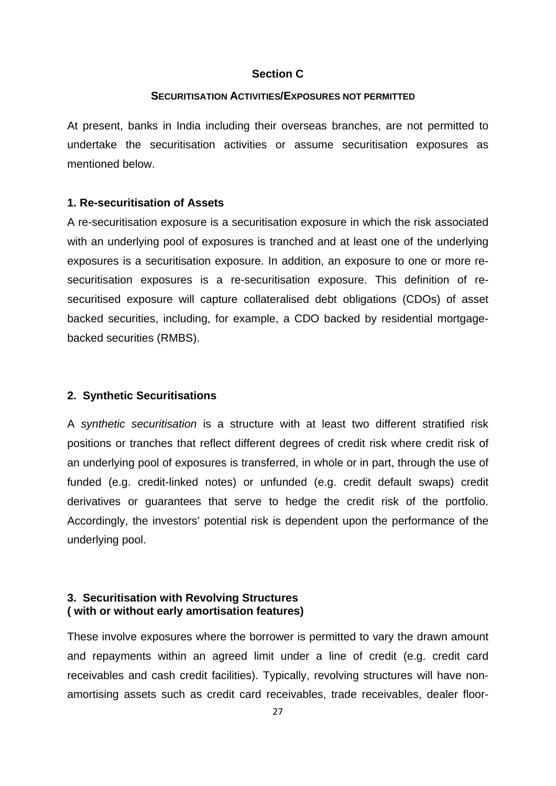#### **Section C**

#### **SECURITISATION ACTIVITIES/EXPOSURES NOT PERMITTED**

At present, banks in India including their overseas branches, are not permitted to undertake the securitisation activities or assume securitisation exposures as mentioned below.

#### **1. Re-securitisation of Assets**

A re-securitisation exposure is a securitisation exposure in which the risk associated with an underlying pool of exposures is tranched and at least one of the underlying exposures is a securitisation exposure. In addition, an exposure to one or more resecuritisation exposures is a re-securitisation exposure. This definition of resecuritised exposure will capture collateralised debt obligations (CDOs) of asset backed securities, including, for example, a CDO backed by residential mortgagebacked securities (RMBS).

#### **2. Synthetic Securitisations**

A *synthetic securitisation* is a structure with at least two different stratified risk positions or tranches that reflect different degrees of credit risk where credit risk of an underlying pool of exposures is transferred, in whole or in part, through the use of funded (e.g. credit-linked notes) or unfunded (e.g. credit default swaps) credit derivatives or guarantees that serve to hedge the credit risk of the portfolio. Accordingly, the investors' potential risk is dependent upon the performance of the underlying pool.

#### **3. Securitisation with Revolving Structures ( with or without early amortisation features)**

These involve exposures where the borrower is permitted to vary the drawn amount and repayments within an agreed limit under a line of credit (e.g. credit card receivables and cash credit facilities). Typically, revolving structures will have nonamortising assets such as credit card receivables, trade receivables, dealer floor-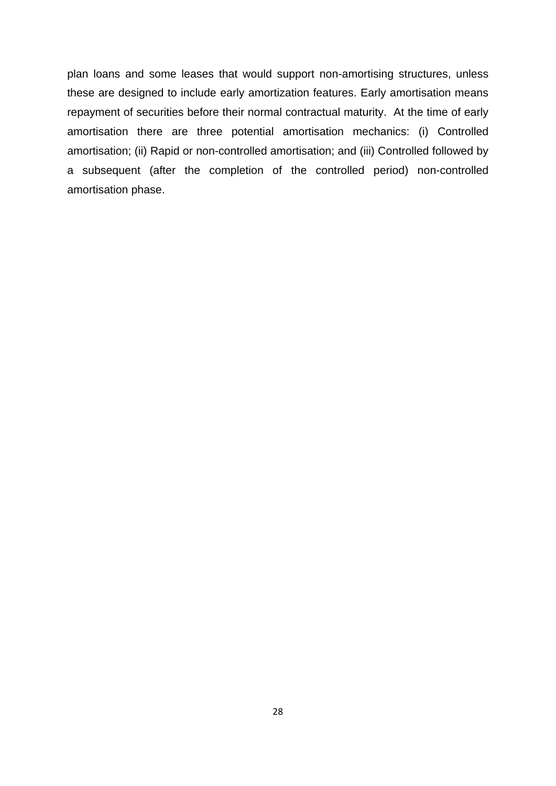plan [loans](http://www.allbusiness.com/accounting-reporting/assets/551202-1.html) and some leases that would support non-amortising structures, unless these are designed to include early amortization features. Early amortisation means repayment of securities before their normal contractual maturity. At the time of early amortisation there are three potential amortisation mechanics: (i) Controlled amortisation; (ii) Rapid or non-controlled amortisation; and (iii) Controlled followed by a subsequent (after the completion of the controlled period) non-controlled amortisation phase.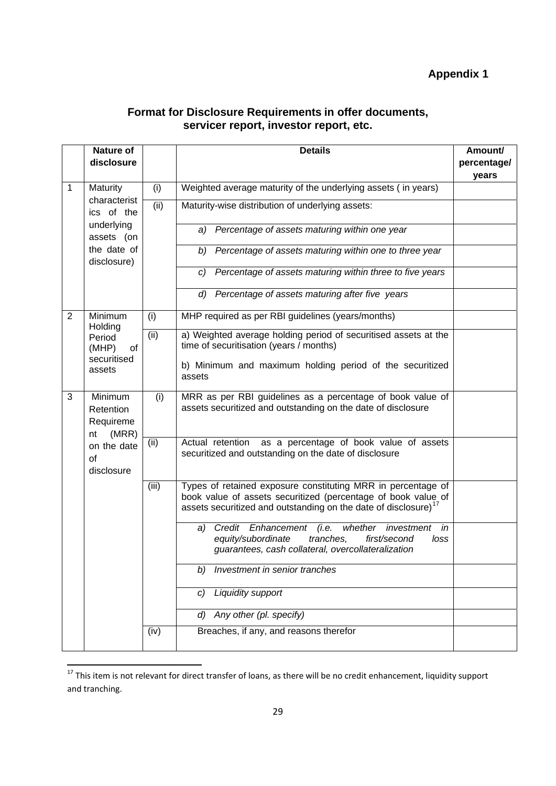### **Format for Disclosure Requirements in offer documents, servicer report, investor report, etc.**

<span id="page-28-0"></span>

|                | <b>Nature of</b>                                                                    |       | <b>Details</b>                                                                                                                                                                                               | Amount/ |
|----------------|-------------------------------------------------------------------------------------|-------|--------------------------------------------------------------------------------------------------------------------------------------------------------------------------------------------------------------|---------|
|                | disclosure                                                                          |       |                                                                                                                                                                                                              |         |
|                |                                                                                     |       |                                                                                                                                                                                                              | years   |
| 1              | Maturity<br>characterist                                                            | (i)   | Weighted average maturity of the underlying assets (in years)                                                                                                                                                |         |
|                | ics of the                                                                          | (ii)  | Maturity-wise distribution of underlying assets:                                                                                                                                                             |         |
|                | underlying<br>assets (on                                                            |       | Percentage of assets maturing within one year<br>a)                                                                                                                                                          |         |
|                | the date of<br>disclosure)                                                          |       | Percentage of assets maturing within one to three year<br>b)                                                                                                                                                 |         |
|                |                                                                                     |       | Percentage of assets maturing within three to five years<br>C)                                                                                                                                               |         |
|                |                                                                                     |       | d)<br>Percentage of assets maturing after five years                                                                                                                                                         |         |
| $\overline{2}$ | Minimum<br>Holding                                                                  | (i)   | MHP required as per RBI guidelines (years/months)                                                                                                                                                            |         |
|                | Period<br>(MHP)<br>of                                                               | (ii)  | a) Weighted average holding period of securitised assets at the<br>time of securitisation (years / months)                                                                                                   |         |
|                | securitised<br>assets                                                               |       | b) Minimum and maximum holding period of the securitized<br>assets                                                                                                                                           |         |
| 3              | Minimum<br>Retention<br>Requireme<br>(MRR)<br>nt<br>on the date<br>of<br>disclosure | (i)   | MRR as per RBI guidelines as a percentage of book value of<br>assets securitized and outstanding on the date of disclosure                                                                                   |         |
|                |                                                                                     | (ii)  | as a percentage of book value of assets<br>Actual retention<br>securitized and outstanding on the date of disclosure                                                                                         |         |
|                |                                                                                     | (iii) | Types of retained exposure constituting MRR in percentage of<br>book value of assets securitized (percentage of book value of<br>assets securitized and outstanding on the date of disclosure) <sup>17</sup> |         |
|                |                                                                                     |       | Credit Enhancement<br>(i.e.<br>whether investment in<br>a)<br>equity/subordinate<br>tranches,<br>first/second<br>loss<br>guarantees, cash collateral, overcollateralization                                  |         |
|                |                                                                                     |       | Investment in senior tranches<br>b)                                                                                                                                                                          |         |
|                |                                                                                     |       | Liquidity support<br>C)                                                                                                                                                                                      |         |
|                |                                                                                     |       | Any other (pl. specify)<br>d)                                                                                                                                                                                |         |
|                |                                                                                     | (iv)  | Breaches, if any, and reasons therefor                                                                                                                                                                       |         |

<sup>&</sup>lt;sup>17</sup> This item is not relevant for direct transfer of loans, as there will be no credit enhancement, liquidity support and tranching.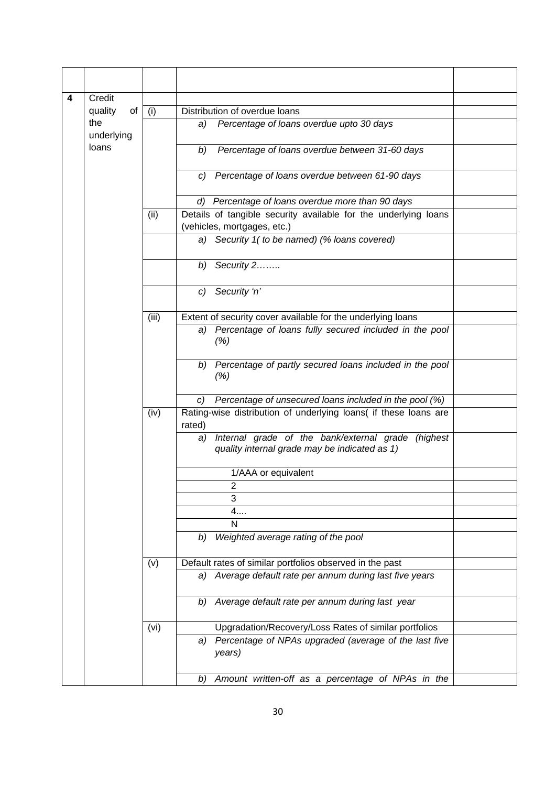| 4 | Credit            |       |                                                                                                           |  |
|---|-------------------|-------|-----------------------------------------------------------------------------------------------------------|--|
|   | quality<br>of     | (i)   | Distribution of overdue loans                                                                             |  |
|   | the<br>underlying |       | Percentage of loans overdue upto 30 days<br>a)                                                            |  |
|   | loans             |       | Percentage of loans overdue between 31-60 days<br>b)                                                      |  |
|   |                   |       | Percentage of loans overdue between 61-90 days<br>C)                                                      |  |
|   |                   |       | d) Percentage of loans overdue more than 90 days                                                          |  |
|   |                   | (ii)  | Details of tangible security available for the underlying loans                                           |  |
|   |                   |       | (vehicles, mortgages, etc.)                                                                               |  |
|   |                   |       | a) Security 1( to be named) (% loans covered)                                                             |  |
|   |                   |       | Security 2<br>b)                                                                                          |  |
|   |                   |       | Security 'n'<br>$\mathcal{C}$                                                                             |  |
|   |                   | (iii) | Extent of security cover available for the underlying loans                                               |  |
|   |                   |       | Percentage of loans fully secured included in the pool<br>a)<br>(%)                                       |  |
|   |                   |       | b) Percentage of partly secured loans included in the pool<br>(% )                                        |  |
|   |                   |       | Percentage of unsecured loans included in the pool (%)<br>C)                                              |  |
|   |                   |       |                                                                                                           |  |
|   |                   |       | Internal grade of the bank/external grade (highest<br>a)<br>quality internal grade may be indicated as 1) |  |
|   |                   |       | 1/AAA or equivalent                                                                                       |  |
|   |                   |       | $\overline{2}$                                                                                            |  |
|   |                   |       | 3                                                                                                         |  |
|   |                   |       | 4                                                                                                         |  |
|   |                   |       | N                                                                                                         |  |
|   |                   |       | Weighted average rating of the pool<br>b)                                                                 |  |
|   |                   | (v)   | Default rates of similar portfolios observed in the past                                                  |  |
|   |                   |       | a) Average default rate per annum during last five years                                                  |  |
|   |                   |       | b) Average default rate per annum during last year                                                        |  |
|   |                   | (vi)  | Upgradation/Recovery/Loss Rates of similar portfolios                                                     |  |
|   |                   |       | Percentage of NPAs upgraded (average of the last five<br>a)<br>years)                                     |  |
|   |                   |       | Amount written-off as a percentage of NPAs in the<br>b)                                                   |  |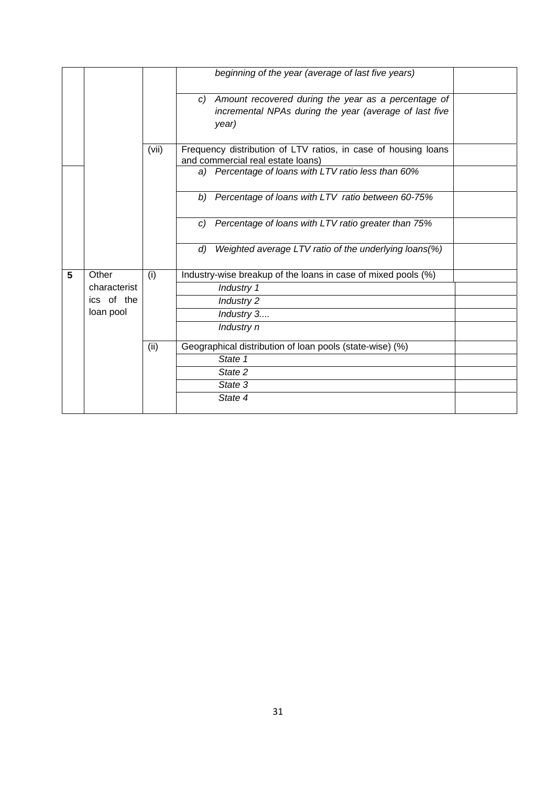|   |              |       | beginning of the year (average of last five years)             |  |
|---|--------------|-------|----------------------------------------------------------------|--|
|   |              |       | Amount recovered during the year as a percentage of<br>C)      |  |
|   |              |       | incremental NPAs during the year (average of last five         |  |
|   |              |       | year)                                                          |  |
|   |              |       |                                                                |  |
|   |              | (vii) | Frequency distribution of LTV ratios, in case of housing loans |  |
|   |              |       | and commercial real estate loans)                              |  |
|   |              |       | a) Percentage of loans with LTV ratio less than 60%            |  |
|   |              |       | Percentage of loans with LTV ratio between 60-75%<br>b)        |  |
|   |              |       | Percentage of loans with LTV ratio greater than 75%<br>C)      |  |
|   |              |       | Weighted average LTV ratio of the underlying loans(%)<br>d)    |  |
| 5 | Other        | (i)   | Industry-wise breakup of the loans in case of mixed pools (%)  |  |
|   | characterist |       | Industry 1                                                     |  |
|   | ics of the   |       | Industry 2                                                     |  |
|   | loan pool    |       | Industry 3                                                     |  |
|   |              |       | Industry n                                                     |  |
|   |              | (ii)  | Geographical distribution of loan pools (state-wise) (%)       |  |
|   |              |       | State 1                                                        |  |
|   |              |       | State 2                                                        |  |
|   |              |       | State 3                                                        |  |
|   |              |       | State 4                                                        |  |
|   |              |       |                                                                |  |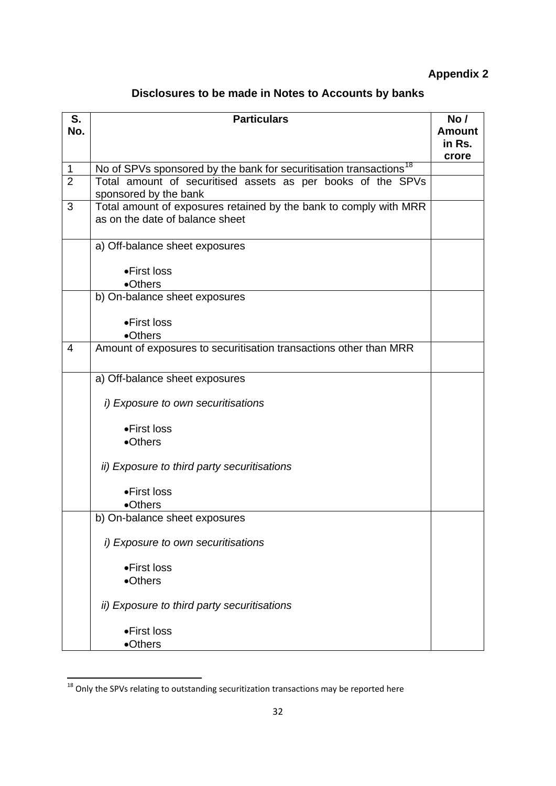# **Appendix 2**

<span id="page-31-0"></span>

| S.             | <b>Particulars</b>                                                             | No/           |
|----------------|--------------------------------------------------------------------------------|---------------|
| No.            |                                                                                | <b>Amount</b> |
|                |                                                                                | in Rs.        |
|                |                                                                                | crore         |
| $\mathbf 1$    | No of SPVs sponsored by the bank for securitisation transactions <sup>18</sup> |               |
| $\overline{2}$ | Total amount of securitised assets as per books of the SPVs                    |               |
|                | sponsored by the bank                                                          |               |
| 3              | Total amount of exposures retained by the bank to comply with MRR              |               |
|                | as on the date of balance sheet                                                |               |
|                |                                                                                |               |
|                | a) Off-balance sheet exposures                                                 |               |
|                |                                                                                |               |
|                | •First loss                                                                    |               |
|                | •Others                                                                        |               |
|                | b) On-balance sheet exposures                                                  |               |
|                |                                                                                |               |
|                | •First loss                                                                    |               |
|                | •Others                                                                        |               |
| $\overline{4}$ | Amount of exposures to securitisation transactions other than MRR              |               |
|                |                                                                                |               |
|                | a) Off-balance sheet exposures                                                 |               |
|                |                                                                                |               |
|                | i) Exposure to own securitisations                                             |               |
|                |                                                                                |               |
|                | •First loss                                                                    |               |
|                | •Others                                                                        |               |
|                |                                                                                |               |
|                | <i>ii)</i> Exposure to third party securitisations                             |               |
|                |                                                                                |               |
|                | •First loss                                                                    |               |
|                | •Others                                                                        |               |
|                | b) On-balance sheet exposures                                                  |               |
|                | i) Exposure to own securitisations                                             |               |
|                |                                                                                |               |
|                | •First loss                                                                    |               |
|                | •Others                                                                        |               |
|                |                                                                                |               |
|                | <i>ii)</i> Exposure to third party securitisations                             |               |
|                |                                                                                |               |
|                | •First loss                                                                    |               |
|                | •Others                                                                        |               |

  $^{18}$  Only the SPVs relating to outstanding securitization transactions may be reported here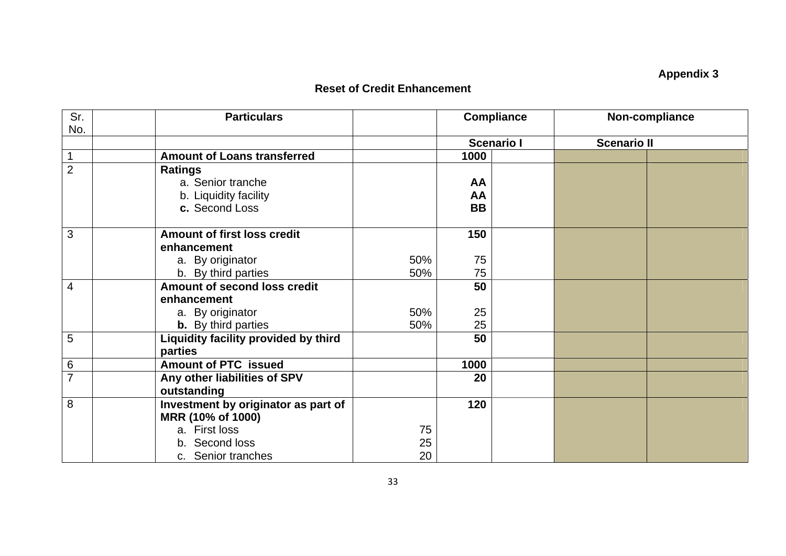# **Appendix 3**

#### **Reset of Credit Enhancement**

| Sr.            | <b>Particulars</b>                   |     | <b>Compliance</b> |  |                    | Non-compliance |
|----------------|--------------------------------------|-----|-------------------|--|--------------------|----------------|
| No.            |                                      |     | <b>Scenario I</b> |  | <b>Scenario II</b> |                |
| $\overline{1}$ | <b>Amount of Loans transferred</b>   |     | 1000              |  |                    |                |
| $\overline{2}$ | <b>Ratings</b>                       |     |                   |  |                    |                |
|                | a. Senior tranche                    |     | AA                |  |                    |                |
|                | b. Liquidity facility                |     | AA                |  |                    |                |
|                | c. Second Loss                       |     | <b>BB</b>         |  |                    |                |
|                |                                      |     |                   |  |                    |                |
| 3              | <b>Amount of first loss credit</b>   |     | 150               |  |                    |                |
|                | enhancement                          |     |                   |  |                    |                |
|                | a. By originator                     | 50% | 75                |  |                    |                |
|                | b. By third parties                  | 50% | 75                |  |                    |                |
| $\overline{4}$ | Amount of second loss credit         |     | 50                |  |                    |                |
|                | enhancement                          |     |                   |  |                    |                |
|                | a. By originator                     | 50% | 25                |  |                    |                |
|                | <b>b.</b> By third parties           | 50% | 25                |  |                    |                |
| 5              | Liquidity facility provided by third |     | 50                |  |                    |                |
|                | parties                              |     |                   |  |                    |                |
| 6              | <b>Amount of PTC issued</b>          |     | 1000              |  |                    |                |
| $\overline{7}$ | Any other liabilities of SPV         |     | 20                |  |                    |                |
|                | outstanding                          |     |                   |  |                    |                |
| 8              | Investment by originator as part of  |     | 120               |  |                    |                |
|                | MRR (10% of 1000)                    |     |                   |  |                    |                |
|                | a. First loss                        | 75  |                   |  |                    |                |
|                | b. Second loss                       | 25  |                   |  |                    |                |
|                | c. Senior tranches                   | 20  |                   |  |                    |                |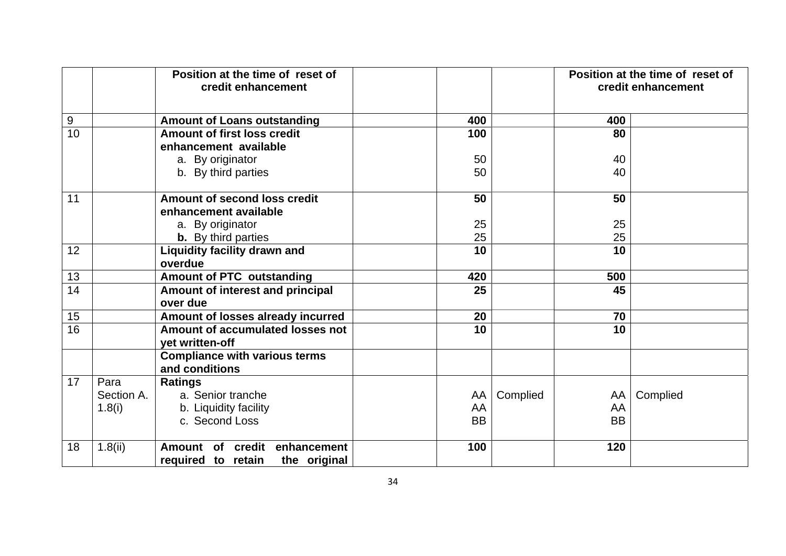|                  | credit enhancement |                                                     | Position at the time of reset of |           |          | Position at the time of reset of<br>credit enhancement |          |  |
|------------------|--------------------|-----------------------------------------------------|----------------------------------|-----------|----------|--------------------------------------------------------|----------|--|
| $\boldsymbol{9}$ |                    | <b>Amount of Loans outstanding</b>                  |                                  | 400       |          | 400                                                    |          |  |
| 10               |                    | Amount of first loss credit                         |                                  | 100       |          | 80                                                     |          |  |
|                  |                    | enhancement available                               |                                  |           |          |                                                        |          |  |
|                  |                    | a. By originator                                    |                                  | 50        |          | 40                                                     |          |  |
|                  |                    | b. By third parties                                 |                                  | 50        |          | 40                                                     |          |  |
| 11               |                    | Amount of second loss credit                        |                                  | 50        |          | 50                                                     |          |  |
|                  |                    | enhancement available                               |                                  |           |          |                                                        |          |  |
|                  |                    | a. By originator                                    |                                  | 25        |          | 25                                                     |          |  |
|                  |                    | <b>b.</b> By third parties                          |                                  | 25        |          | 25                                                     |          |  |
| 12               |                    | Liquidity facility drawn and                        |                                  | 10        |          | 10                                                     |          |  |
|                  |                    | overdue                                             |                                  |           |          |                                                        |          |  |
| 13               |                    | <b>Amount of PTC outstanding</b>                    |                                  | 420       |          | 500                                                    |          |  |
| 14               |                    | Amount of interest and principal                    |                                  | 25        |          | 45                                                     |          |  |
|                  |                    | over due                                            |                                  |           |          |                                                        |          |  |
| 15               |                    | Amount of losses already incurred                   |                                  | 20        |          | 70                                                     |          |  |
| 16               |                    | Amount of accumulated losses not<br>yet written-off |                                  | 10        |          | 10                                                     |          |  |
|                  |                    | <b>Compliance with various terms</b>                |                                  |           |          |                                                        |          |  |
|                  |                    | and conditions                                      |                                  |           |          |                                                        |          |  |
| 17               | Para               | <b>Ratings</b>                                      |                                  |           |          |                                                        |          |  |
|                  | Section A.         | a. Senior tranche                                   |                                  | AA        | Complied | AA                                                     | Complied |  |
|                  | 1.8(i)             | b. Liquidity facility                               |                                  | AA        |          | AA                                                     |          |  |
|                  |                    | c. Second Loss                                      |                                  | <b>BB</b> |          | <b>BB</b>                                              |          |  |
| 18               | 1.8(ii)            | Amount of credit enhancement                        |                                  | 100       |          | 120                                                    |          |  |
|                  |                    | required to retain<br>the original                  |                                  |           |          |                                                        |          |  |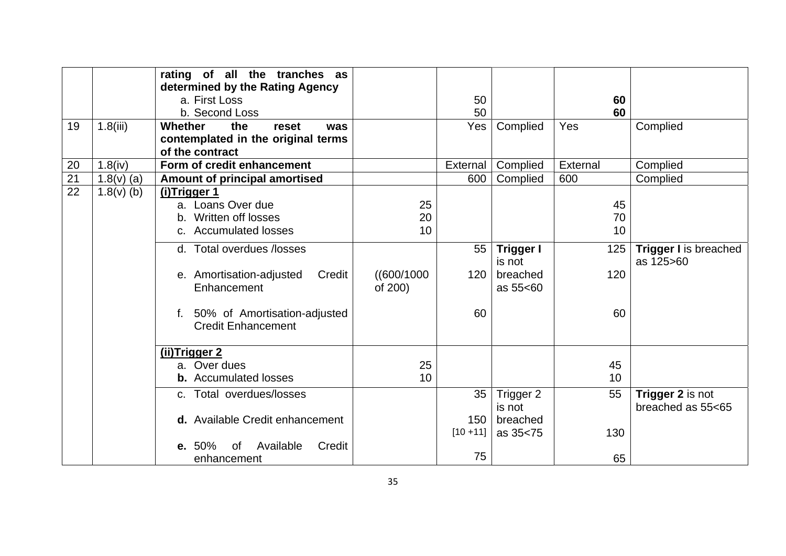|    |              | rating of all the tranches as         |             |                 |                  |          |                              |
|----|--------------|---------------------------------------|-------------|-----------------|------------------|----------|------------------------------|
|    |              | determined by the Rating Agency       |             |                 |                  |          |                              |
|    |              | a. First Loss                         |             | 50              |                  | 60       |                              |
|    |              | b. Second Loss                        |             | 50              |                  | 60       |                              |
| 19 | 1.8(iii)     | <b>Whether</b><br>the<br>reset<br>was |             | Yes             | Complied         | Yes      | Complied                     |
|    |              | contemplated in the original terms    |             |                 |                  |          |                              |
|    |              | of the contract                       |             |                 |                  |          |                              |
| 20 | 1.8(iv)      | Form of credit enhancement            |             | External        | Complied         | External | Complied                     |
| 21 | $1.8(v)$ (a) | Amount of principal amortised         |             | 600             | Complied         | 600      | Complied                     |
| 22 | $1.8(v)$ (b) | (i)Trigger 1                          |             |                 |                  |          |                              |
|    |              | a. Loans Over due                     | 25          |                 |                  | 45       |                              |
|    |              | Written off losses                    | 20          |                 |                  | 70       |                              |
|    |              | c. Accumulated losses                 | 10          |                 |                  | 10       |                              |
|    |              | d. Total overdues /losses             |             | 55              | <b>Trigger I</b> | 125      | <b>Trigger I</b> is breached |
|    |              |                                       |             |                 | is not           |          | as 125>60                    |
|    |              | e. Amortisation-adjusted<br>Credit    | ((600/1000) | 120             | breached         | 120      |                              |
|    |              | Enhancement                           | of 200)     |                 | as 55<60         |          |                              |
|    |              |                                       |             |                 |                  |          |                              |
|    |              | f. 50% of Amortisation-adjusted       |             | 60              |                  | 60       |                              |
|    |              | <b>Credit Enhancement</b>             |             |                 |                  |          |                              |
|    |              |                                       |             |                 |                  |          |                              |
|    |              | (ii)Trigger 2                         |             |                 |                  |          |                              |
|    |              | a. Over dues                          | 25          |                 |                  | 45       |                              |
|    |              | <b>b.</b> Accumulated losses          | 10          |                 |                  | 10       |                              |
|    |              | c. Total overdues/losses              |             | 35 <sup>1</sup> | Trigger 2        | 55       | Trigger 2 is not             |
|    |              |                                       |             |                 | is not           |          | breached as 55<65            |
|    |              | d. Available Credit enhancement       |             | 150             | breached         |          |                              |
|    |              |                                       |             | $[10 + 11]$     | as 35<75         | 130      |                              |
|    |              | Available<br>Credit<br>e. 50%<br>of   |             |                 |                  |          |                              |
|    |              | enhancement                           |             | 75              |                  | 65       |                              |
|    |              |                                       |             |                 |                  |          |                              |